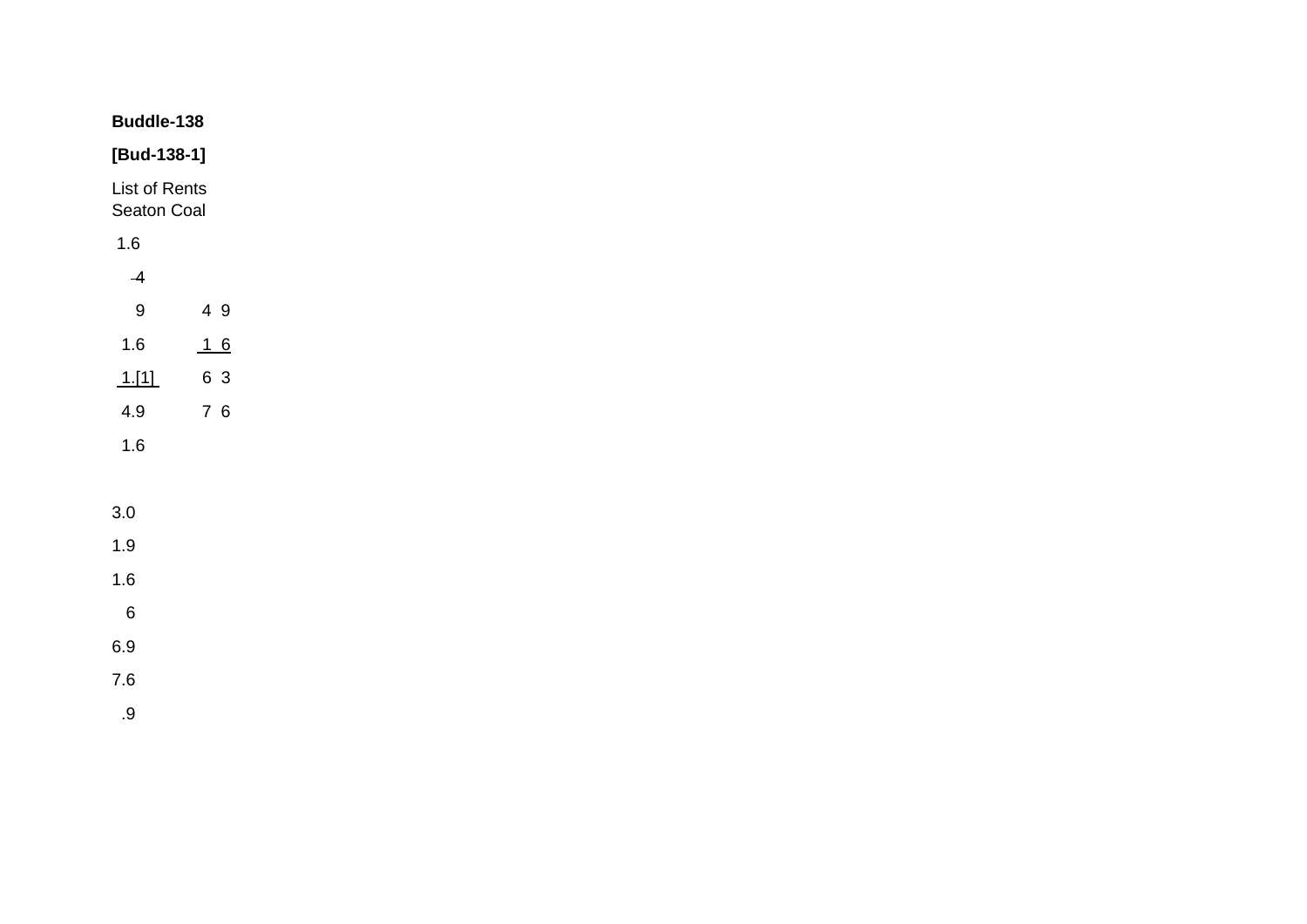| Buddle-138       |                  |
|------------------|------------------|
| [Bud-138-1]      |                  |
| List of Rents    |                  |
| Seaton Coal      |                  |
| 1.6              |                  |
| $\overline{4}$   |                  |
| $\boldsymbol{9}$ | 49               |
| $1.6\,$          | $\underline{16}$ |
| 1.11             | 6 3              |
| $4.9\,$          | 7 6              |
| $1.6\,$          |                  |
|                  |                  |
|                  |                  |
| $3.0\,$          |                  |
| $1.9$            |                  |
| $1.6\,$          |                  |
| $\,6\,$          |                  |
| $6.9\,$          |                  |
| $7.6\,$          |                  |
| $.9\,$           |                  |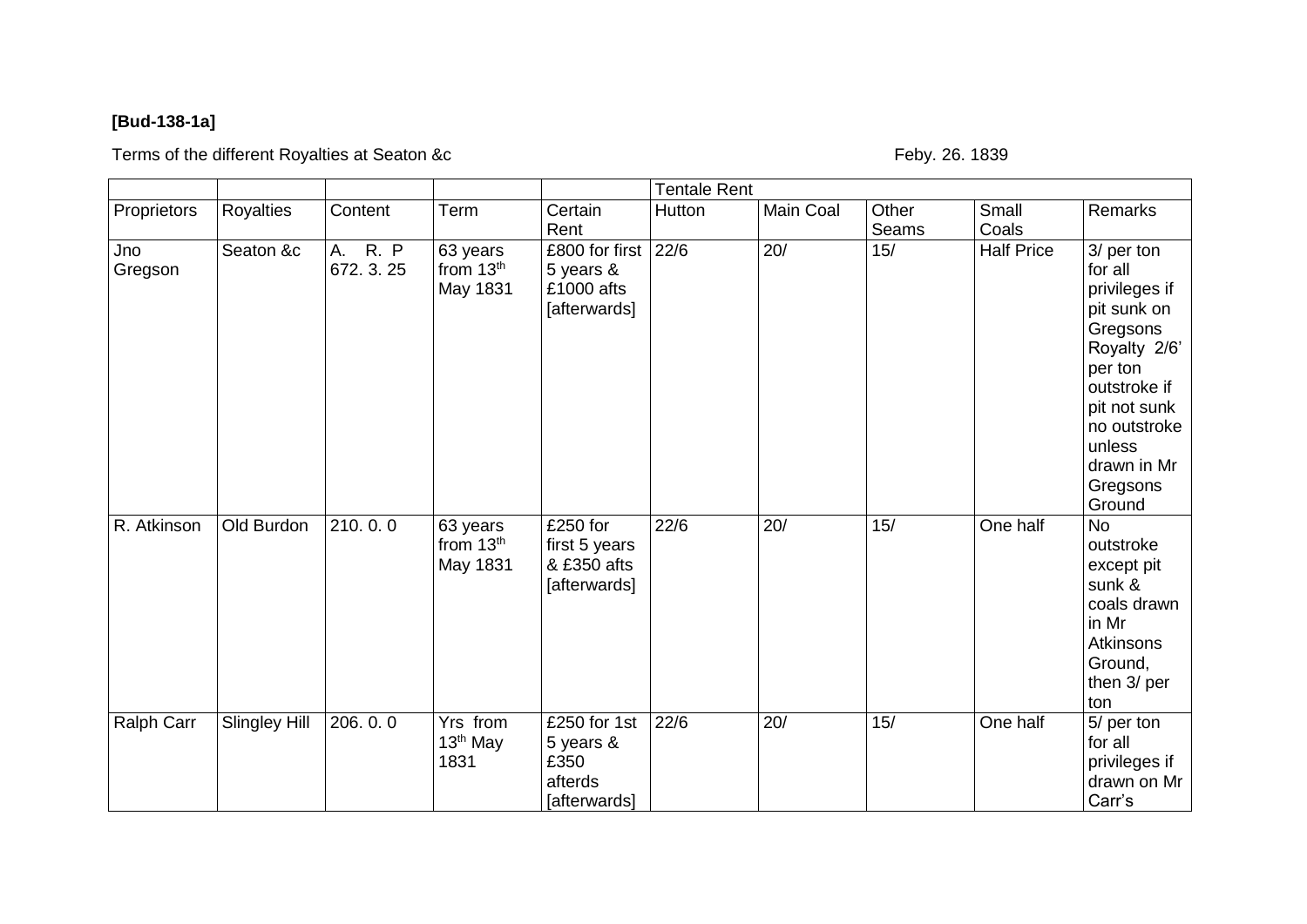# **[Bud-138-1a]**

Terms of the different Royalties at Seaton &c **Feby.** 26. 1839

|                |                      |                          |                                               |                                                                | <b>Tentale Rent</b> |           |                |                   |                                                                                                                                                                                             |
|----------------|----------------------|--------------------------|-----------------------------------------------|----------------------------------------------------------------|---------------------|-----------|----------------|-------------------|---------------------------------------------------------------------------------------------------------------------------------------------------------------------------------------------|
| Proprietors    | Royalties            | Content                  | Term                                          | Certain<br>Rent                                                | Hutton              | Main Coal | Other<br>Seams | Small<br>Coals    | Remarks                                                                                                                                                                                     |
| Jno<br>Gregson | Seaton &c            | R. P<br>А.<br>672. 3. 25 | 63 years<br>from 13 <sup>th</sup><br>May 1831 | £800 for first 22/6<br>5 years &<br>£1000 afts<br>[afterwards] |                     | 20/       | 15/            | <b>Half Price</b> | 3/ per ton<br>for all<br>privileges if<br>pit sunk on<br>Gregsons<br>Royalty 2/6'<br>per ton<br>outstroke if<br>pit not sunk<br>no outstroke<br>unless<br>drawn in Mr<br>Gregsons<br>Ground |
| R. Atkinson    | Old Burdon           | 210.0.0                  | 63 years<br>from $13th$<br>May 1831           | £250 for<br>first 5 years<br>& £350 afts<br>[afterwards]       | 22/6                | 20/       | 15/            | One half          | <b>No</b><br>outstroke<br>except pit<br>sunk &<br>coals drawn<br>in Mr<br>Atkinsons<br>Ground,<br>then 3/ per<br>ton                                                                        |
| Ralph Carr     | <b>Slingley Hill</b> | 206.0.0                  | Yrs from<br>13 <sup>th</sup> May<br>1831      | £250 for 1st<br>5 years &<br>£350<br>afterds<br>[afterwards]   | 22/6                | 20/       | 15/            | One half          | 5/ per ton<br>for all<br>privileges if<br>drawn on Mr<br>Carr's                                                                                                                             |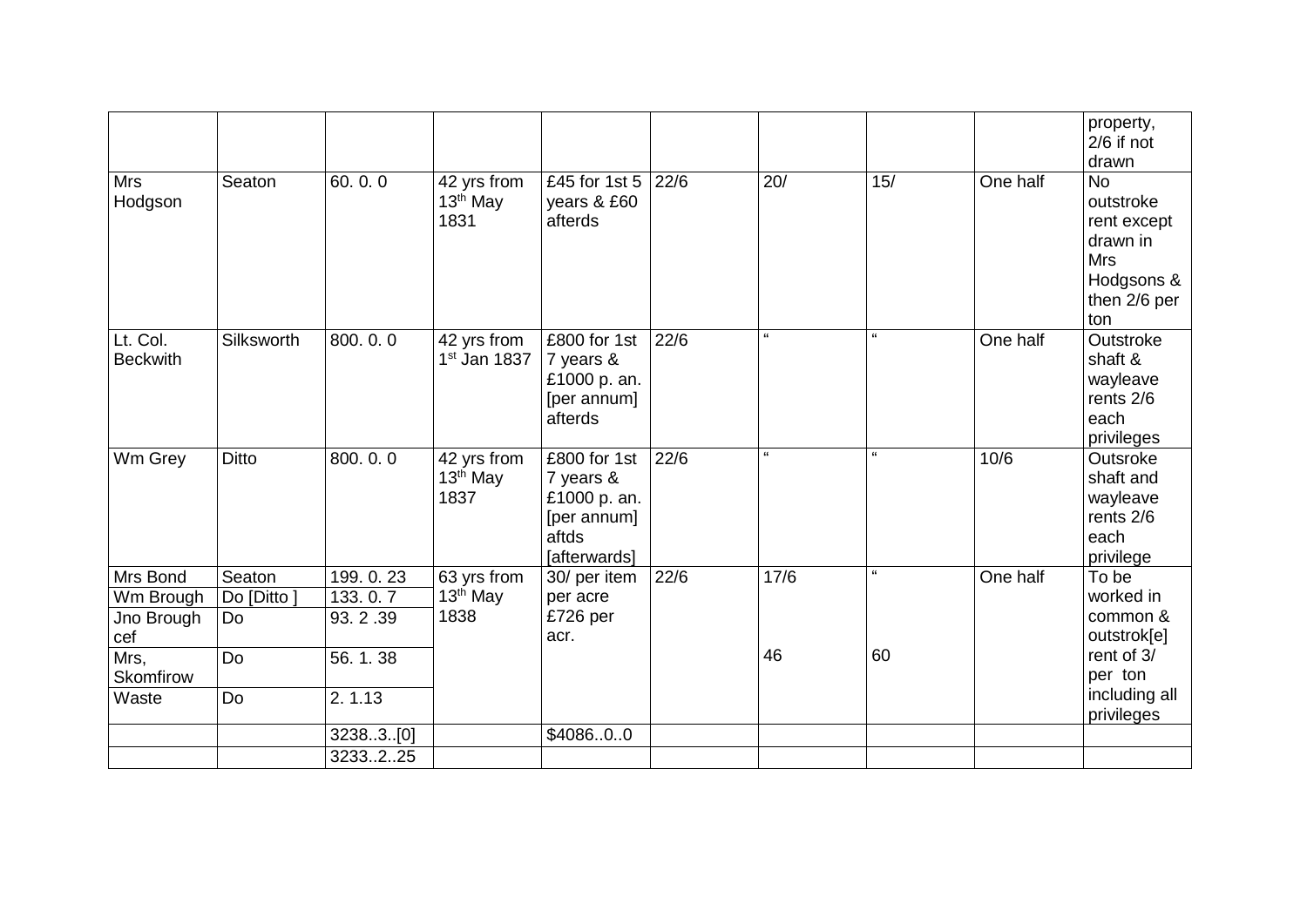|                             |                  |                    |                                             |                                                                                   |      |              |              |          | property,<br>$2/6$ if not<br>drawn                                                                   |
|-----------------------------|------------------|--------------------|---------------------------------------------|-----------------------------------------------------------------------------------|------|--------------|--------------|----------|------------------------------------------------------------------------------------------------------|
| <b>Mrs</b><br>Hodgson       | Seaton           | 60.0.0             | 42 yrs from<br>$13th$ May<br>1831           | £45 for 1st 5<br>years & £60<br>afterds                                           | 22/6 | 20/          | 15/          | One half | <b>No</b><br>outstroke<br>rent except<br>drawn in<br><b>Mrs</b><br>Hodgsons &<br>then 2/6 per<br>ton |
| Lt. Col.<br><b>Beckwith</b> | Silksworth       | 800.0.0            | 42 yrs from<br>1 <sup>st</sup> Jan 1837     | £800 for 1st<br>7 years &<br>£1000 p. an.<br>[per annum]<br>afterds               | 22/6 | $\mathbf{G}$ | $\mathbf{a}$ | One half | Outstroke<br>shaft &<br>wayleave<br>rents 2/6<br>each<br>privileges                                  |
| Wm Grey                     | <b>Ditto</b>     | 800.0.0            | 42 yrs from<br>13 <sup>th</sup> May<br>1837 | £800 for 1st<br>7 years &<br>£1000 p. an.<br>[per annum]<br>aftds<br>[afterwards] | 22/6 | $\alpha$     | $\mathbf{a}$ | 10/6     | Outsroke<br>shaft and<br>wayleave<br>rents 2/6<br>each<br>privilege                                  |
| Mrs Bond                    | Seaton           | 199.0.23           | 63 yrs from                                 | 30/ per item                                                                      | 22/6 | 17/6         | $\mathbf{a}$ | One half | To be                                                                                                |
| Wm Brough<br>Jno Brough     | Do [Ditto]<br>Do | 133.0.7<br>93.2.39 | $13th$ May<br>1838                          | per acre<br>£726 per<br>acr.                                                      |      |              |              |          | worked in<br>common &<br>outstrok[e]                                                                 |
| cef<br>Mrs,<br>Skomfirow    | Do               | 56.1.38            |                                             |                                                                                   |      | 46           | 60           |          | rent of 3/<br>per ton                                                                                |
| Waste                       | Do               | 2.1.13             |                                             |                                                                                   |      |              |              |          | including all<br>privileges                                                                          |
|                             |                  | 32383.[0]          |                                             | \$408600                                                                          |      |              |              |          |                                                                                                      |
|                             |                  | 3233225            |                                             |                                                                                   |      |              |              |          |                                                                                                      |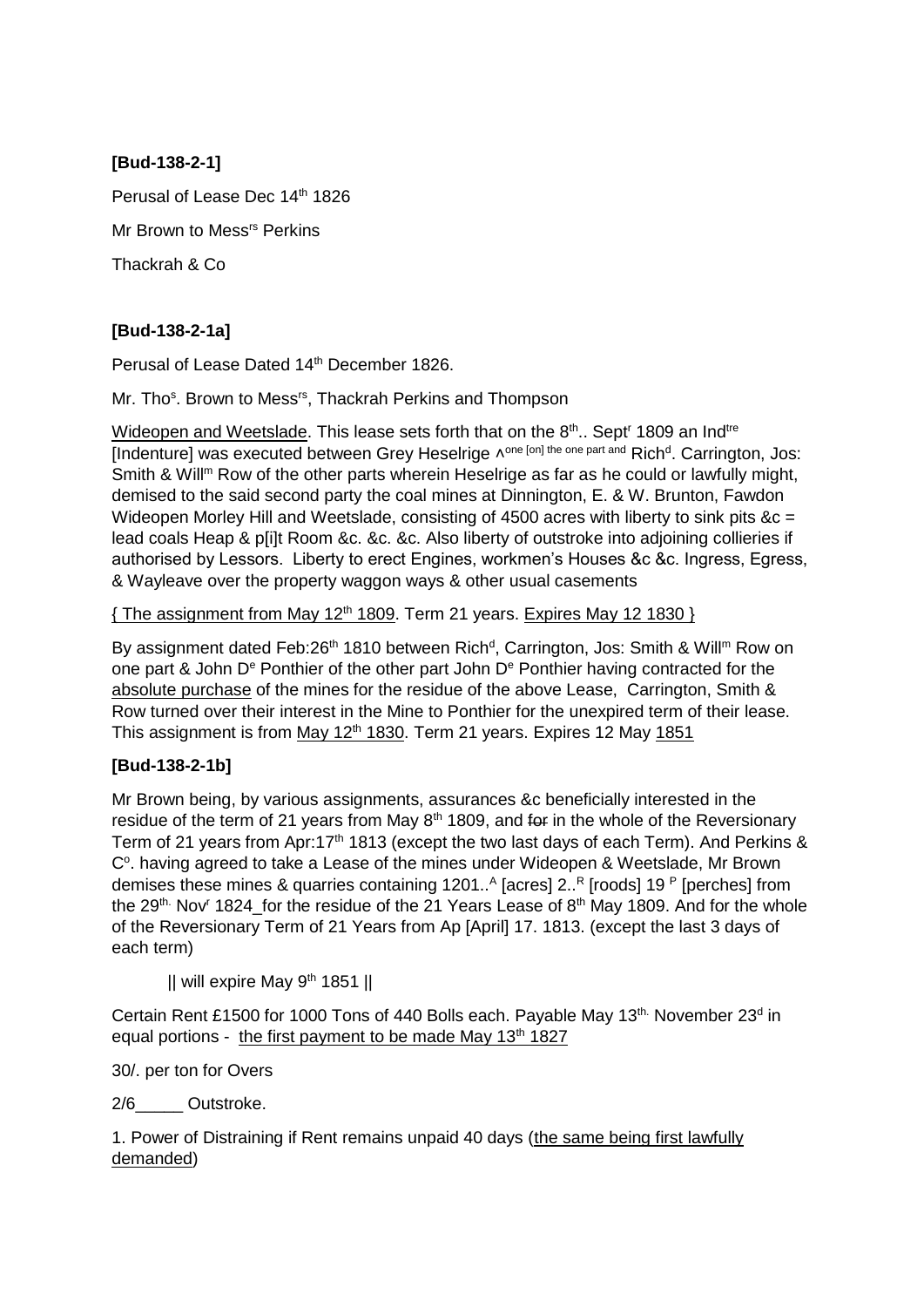# **[Bud-138-2-1]**

Perusal of Lease Dec 14th 1826

Mr Brown to Mess<sup>rs</sup> Perkins

Thackrah & Co

# **[Bud-138-2-1a]**

Perusal of Lease Dated 14<sup>th</sup> December 1826.

Mr. Tho<sup>s</sup>. Brown to Mess<sup>rs</sup>, Thackrah Perkins and Thompson

Wideopen and Weetslade. This lease sets forth that on the 8<sup>th</sup>.. Sept<sup>r</sup> 1809 an Ind<sup>tre</sup> [Indenture] was executed between Grey Heselrige A<sup>one [on] the one part and</sup> Rich<sup>d</sup>. Carrington, Jos: Smith & Will<sup>m</sup> Row of the other parts wherein Heselrige as far as he could or lawfully might, demised to the said second party the coal mines at Dinnington, E. & W. Brunton, Fawdon Wideopen Morley Hill and Weetslade, consisting of 4500 acres with liberty to sink pits &c = lead coals Heap & p[i]t Room &c. &c. &c. Also liberty of outstroke into adjoining collieries if authorised by Lessors. Liberty to erect Engines, workmen's Houses &c &c. Ingress, Egress, & Wayleave over the property waggon ways & other usual casements

{ The assignment from May 12<sup>th</sup> 1809. Term 21 years. Expires May 12 1830 }

By assignment dated Feb:26<sup>th</sup> 1810 between Rich<sup>d</sup>, Carrington, Jos: Smith & Will<sup>m</sup> Row on one part & John  $D^e$  Ponthier of the other part John  $D^e$  Ponthier having contracted for the absolute purchase of the mines for the residue of the above Lease, Carrington, Smith & Row turned over their interest in the Mine to Ponthier for the unexpired term of their lease. This assignment is from May 12<sup>th</sup> 1830. Term 21 years. Expires 12 May 1851

# **[Bud-138-2-1b]**

Mr Brown being, by various assignments, assurances &c beneficially interested in the residue of the term of 21 years from May  $8<sup>th</sup>$  1809, and for in the whole of the Reversionary Term of 21 years from Apr:17<sup>th</sup> 1813 (except the two last days of each Term). And Perkins & C°. having agreed to take a Lease of the mines under Wideopen & Weetslade, Mr Brown demises these mines & quarries containing 1201..<sup>A</sup> [acres] 2..<sup>R</sup> [roods] 19<sup>P</sup> [perches] from the 29<sup>th.</sup> Nov<sup>r</sup> 1824 for the residue of the 21 Years Lease of 8<sup>th</sup> May 1809. And for the whole of the Reversionary Term of 21 Years from Ap [April] 17. 1813. (except the last 3 days of each term)

|| will expire May 9th 1851 ||

Certain Rent £1500 for 1000 Tons of 440 Bolls each. Payable May 13<sup>th.</sup> November 23<sup>d</sup> in equal portions - the first payment to be made May  $13<sup>th</sup> 1827$ 

30/. per ton for Overs

2/6 Outstroke.

1. Power of Distraining if Rent remains unpaid 40 days (the same being first lawfully demanded)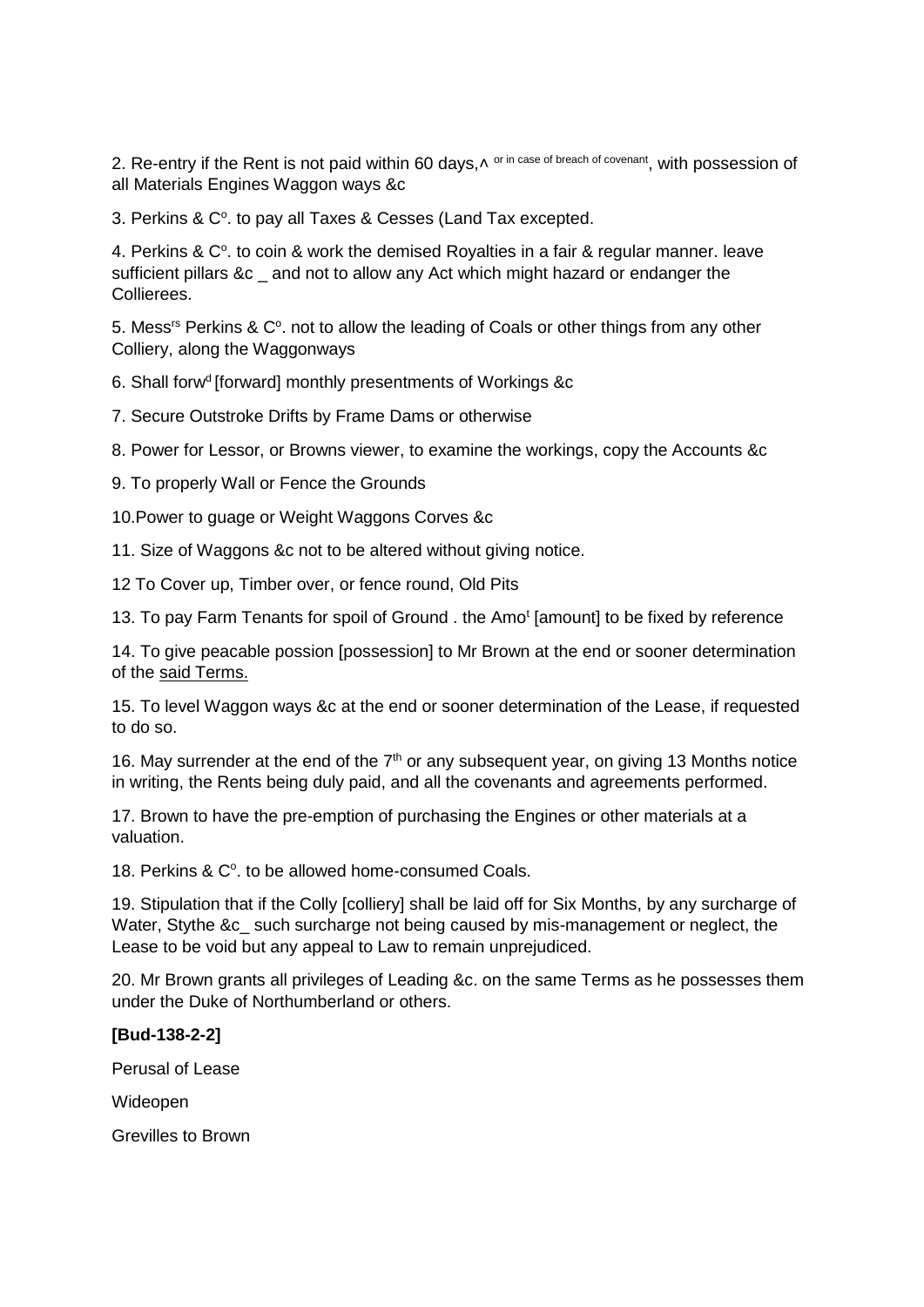2. Re-entry if the Rent is not paid within 60 days, A <sup>or in case of breach of covenant</sup>, with possession of all Materials Engines Waggon ways &c

3. Perkins & C° to pay all Taxes & Cesses (Land Tax excepted.

4. Perkins &  $C<sup>o</sup>$ . to coin & work the demised Royalties in a fair & regular manner. leave sufficient pillars &c \_ and not to allow any Act which might hazard or endanger the Collierees.

5. Mess<sup>rs</sup> Perkins &  $C<sup>o</sup>$ . not to allow the leading of Coals or other things from any other Colliery, along the Waggonways

6. Shall forw<sup>d</sup> [forward] monthly presentments of Workings &c

7. Secure Outstroke Drifts by Frame Dams or otherwise

8. Power for Lessor, or Browns viewer, to examine the workings, copy the Accounts &c

9. To properly Wall or Fence the Grounds

10.Power to guage or Weight Waggons Corves &c

11. Size of Waggons &c not to be altered without giving notice.

12 To Cover up, Timber over, or fence round, Old Pits

13. To pay Farm Tenants for spoil of Ground . the Amo<sup>t</sup> [amount] to be fixed by reference

14. To give peacable possion [possession] to Mr Brown at the end or sooner determination of the said Terms.

15. To level Waggon ways &c at the end or sooner determination of the Lease, if requested to do so.

16. May surrender at the end of the  $7<sup>th</sup>$  or any subsequent year, on giving 13 Months notice in writing, the Rents being duly paid, and all the covenants and agreements performed.

17. Brown to have the pre-emption of purchasing the Engines or other materials at a valuation.

18. Perkins & C°. to be allowed home-consumed Coals.

19. Stipulation that if the Colly [colliery] shall be laid off for Six Months, by any surcharge of Water, Stythe &c\_ such surcharge not being caused by mis-management or neglect, the Lease to be void but any appeal to Law to remain unprejudiced.

20. Mr Brown grants all privileges of Leading &c. on the same Terms as he possesses them under the Duke of Northumberland or others.

**[Bud-138-2-2]**

Perusal of Lease

Wideopen

Grevilles to Brown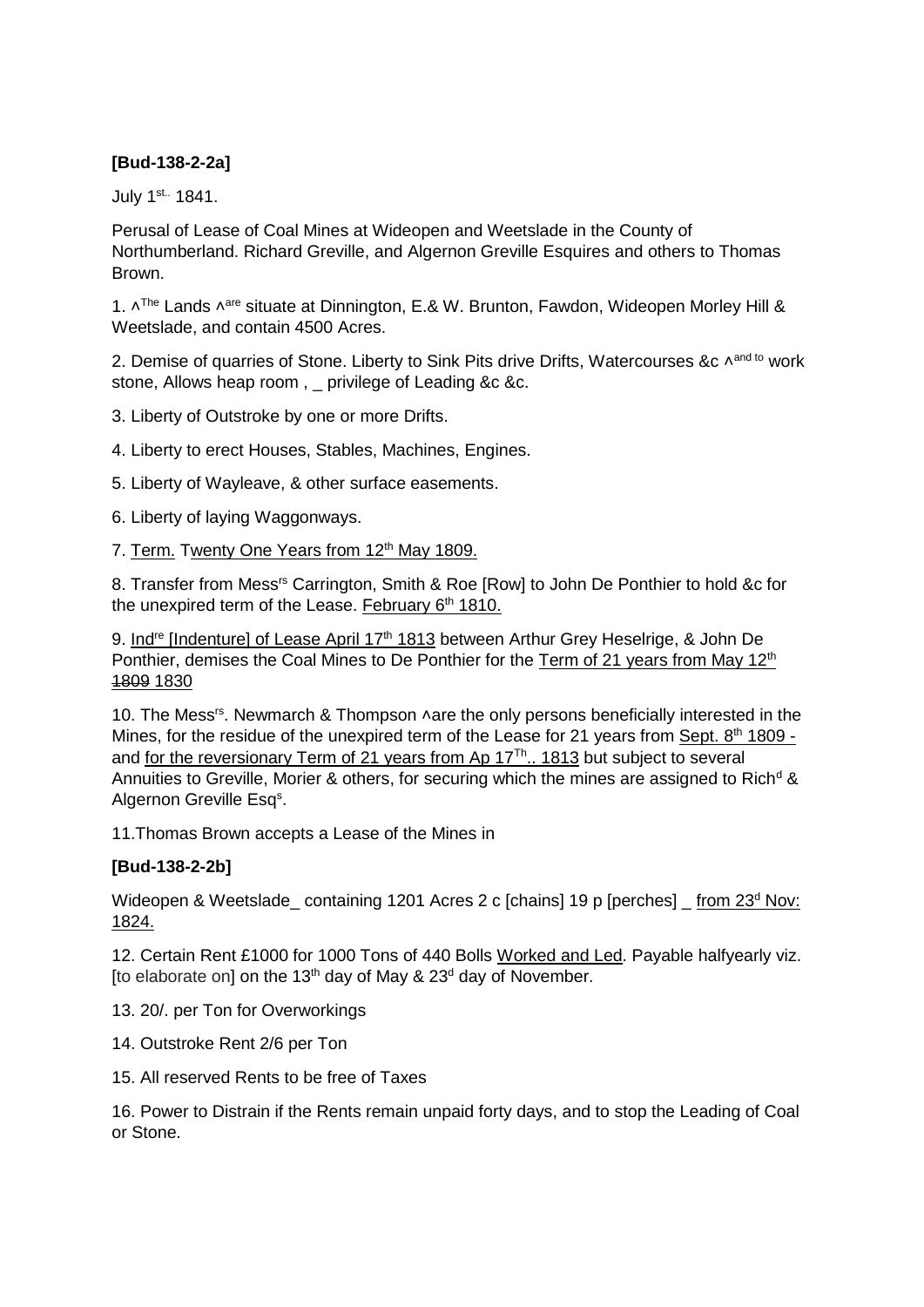# **[Bud-138-2-2a]**

July 1st.. 1841.

Perusal of Lease of Coal Mines at Wideopen and Weetslade in the County of Northumberland. Richard Greville, and Algernon Greville Esquires and others to Thomas Brown.

1.  $\Lambda^{The}$  Lands  $\Lambda^{are}$  situate at Dinnington, E.& W. Brunton, Fawdon, Wideopen Morley Hill & Weetslade, and contain 4500 Acres.

2. Demise of quarries of Stone. Liberty to Sink Pits drive Drifts, Watercourses &c A<sup>and to</sup> work stone, Allows heap room, privilege of Leading &c &c.

3. Liberty of Outstroke by one or more Drifts.

4. Liberty to erect Houses, Stables, Machines, Engines.

5. Liberty of Wayleave, & other surface easements.

6. Liberty of laying Waggonways.

7. Term. Twenty One Years from 12<sup>th</sup> May 1809.

8. Transfer from Mess<sup>rs</sup> Carrington, Smith & Roe [Row] to John De Ponthier to hold &c for the unexpired term of the Lease. February  $6<sup>th</sup>$  1810.

9. Ind<sup>re</sup> [Indenture] of Lease April 17<sup>th</sup> 1813 between Arthur Grey Heselrige, & John De Ponthier, demises the Coal Mines to De Ponthier for the Term of 21 years from May 12<sup>th</sup> 1809 1830

10. The Mess<sup>rs</sup>. Newmarch & Thompson ^are the only persons beneficially interested in the Mines, for the residue of the unexpired term of the Lease for 21 years from Sept.  $8<sup>th</sup>$  1809 and for the reversionary Term of 21 years from Ap  $17<sup>Th</sup>$ . 1813 but subject to several Annuities to Greville, Morier & others, for securing which the mines are assigned to Rich<sup>d</sup> & Algernon Greville Esq<sup>s</sup>.

11.Thomas Brown accepts a Lease of the Mines in

#### **[Bud-138-2-2b]**

Wideopen & Weetslade containing 1201 Acres 2 c [chains] 19 p [perches] from 23<sup>d</sup> Nov: 1824.

12. Certain Rent £1000 for 1000 Tons of 440 Bolls Worked and Led. Payable halfyearly viz. [to elaborate on] on the 13<sup>th</sup> day of May & 23<sup>d</sup> day of November.

13. 20/. per Ton for Overworkings

- 14. Outstroke Rent 2/6 per Ton
- 15. All reserved Rents to be free of Taxes

16. Power to Distrain if the Rents remain unpaid forty days, and to stop the Leading of Coal or Stone.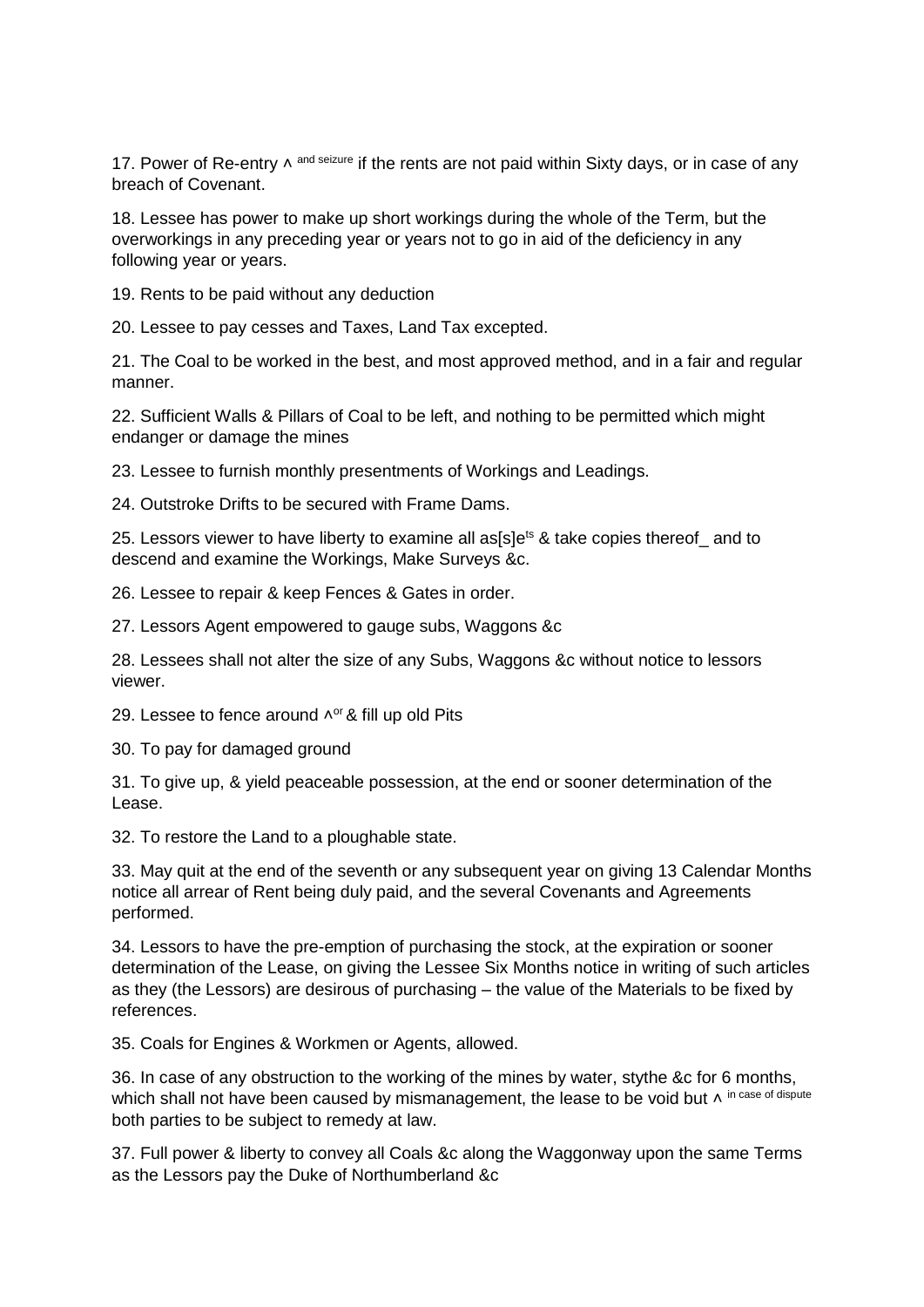17. Power of Re-entry  $\wedge$  and seizure if the rents are not paid within Sixty days, or in case of any breach of Covenant.

18. Lessee has power to make up short workings during the whole of the Term, but the overworkings in any preceding year or years not to go in aid of the deficiency in any following year or years.

19. Rents to be paid without any deduction

20. Lessee to pay cesses and Taxes, Land Tax excepted.

21. The Coal to be worked in the best, and most approved method, and in a fair and regular manner.

22. Sufficient Walls & Pillars of Coal to be left, and nothing to be permitted which might endanger or damage the mines

23. Lessee to furnish monthly presentments of Workings and Leadings.

24. Outstroke Drifts to be secured with Frame Dams.

25. Lessors viewer to have liberty to examine all as slets  $\&$  take copies thereof and to descend and examine the Workings, Make Surveys &c.

26. Lessee to repair & keep Fences & Gates in order.

27. Lessors Agent empowered to gauge subs, Waggons &c

28. Lessees shall not alter the size of any Subs, Waggons &c without notice to lessors viewer.

29. Lessee to fence around  $\wedge^{\circ r}$  & fill up old Pits

30. To pay for damaged ground

31. To give up, & yield peaceable possession, at the end or sooner determination of the Lease.

32. To restore the Land to a ploughable state.

33. May quit at the end of the seventh or any subsequent year on giving 13 Calendar Months notice all arrear of Rent being duly paid, and the several Covenants and Agreements performed.

34. Lessors to have the pre-emption of purchasing the stock, at the expiration or sooner determination of the Lease, on giving the Lessee Six Months notice in writing of such articles as they (the Lessors) are desirous of purchasing – the value of the Materials to be fixed by references.

35. Coals for Engines & Workmen or Agents, allowed.

36. In case of any obstruction to the working of the mines by water, stythe &c for 6 months, which shall not have been caused by mismanagement, the lease to be void but  $\wedge$  in case of dispute both parties to be subject to remedy at law.

37. Full power & liberty to convey all Coals &c along the Waggonway upon the same Terms as the Lessors pay the Duke of Northumberland &c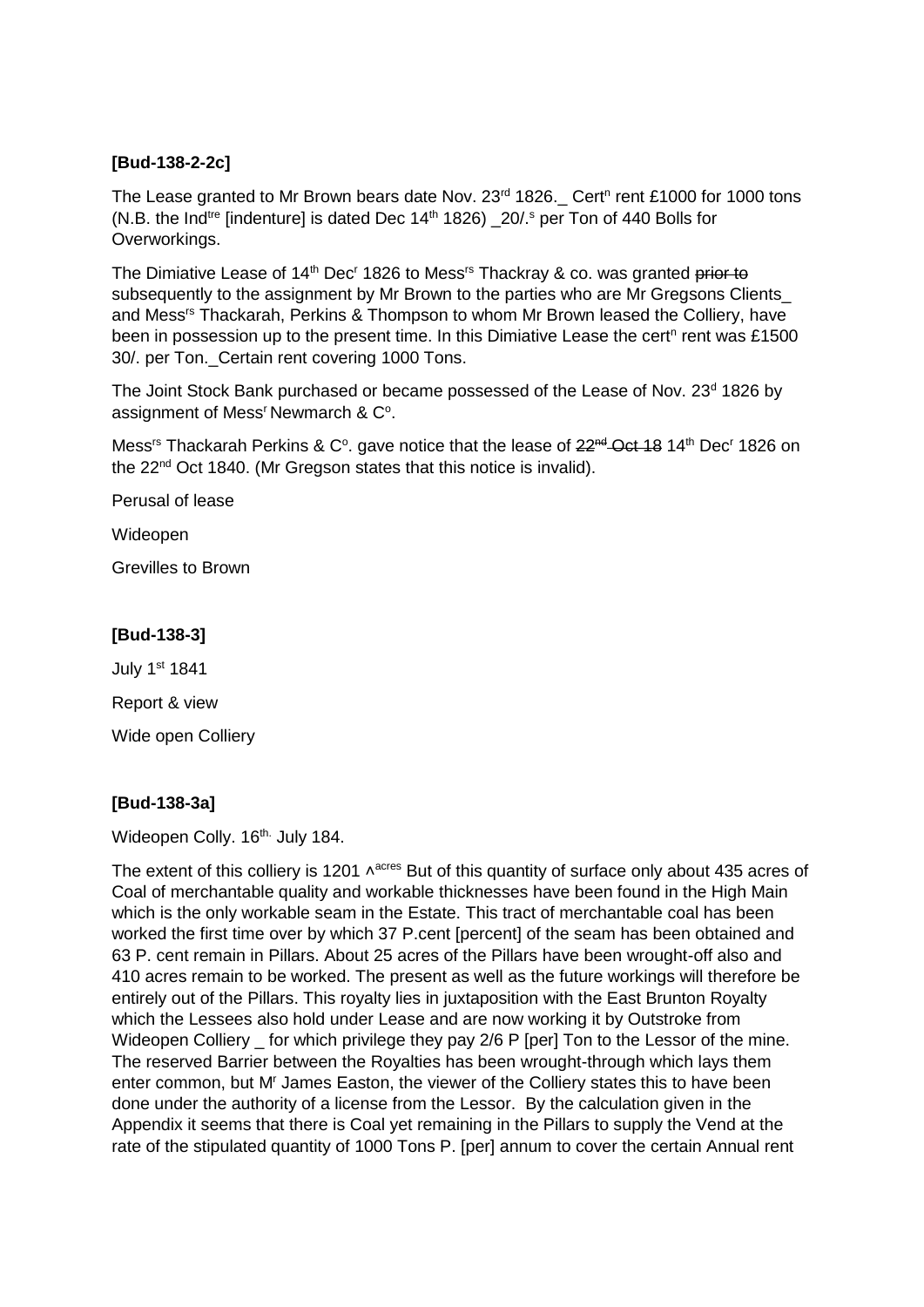#### **[Bud-138-2-2c]**

The Lease granted to Mr Brown bears date Nov.  $23<sup>rd</sup> 1826$ . Cert<sup>n</sup> rent £1000 for 1000 tons (N.B. the Ind<sup>tre</sup> [indenture] is dated Dec  $14<sup>th</sup> 1826$ )  $\_20$ /.<sup>s</sup> per Ton of 440 Bolls for Overworkings.

The Dimiative Lease of 14<sup>th</sup> Dec<sup>r</sup> 1826 to Mess<sup>rs</sup> Thackray & co. was granted prior to subsequently to the assignment by Mr Brown to the parties who are Mr Gregsons Clients\_ and Mess<sup>rs</sup> Thackarah, Perkins & Thompson to whom Mr Brown leased the Colliery, have been in possession up to the present time. In this Dimiative Lease the cert<sup>n</sup> rent was £1500 30/. per Ton. Certain rent covering 1000 Tons.

The Joint Stock Bank purchased or became possessed of the Lease of Nov. 23<sup>d</sup> 1826 by assignment of Mess<sup>r</sup> Newmarch & C°.

Mess<sup>rs</sup> Thackarah Perkins & C°. gave notice that the lease of 22<sup>nd</sup> Oct 18 14<sup>th</sup> Dec<sup>r</sup> 1826 on the 22<sup>nd</sup> Oct 1840. (Mr Gregson states that this notice is invalid).

Perusal of lease

Wideopen

Grevilles to Brown

#### **[Bud-138-3]**

July 1st 1841 Report & view

Wide open Colliery

#### **[Bud-138-3a]**

Wideopen Colly. 16<sup>th.</sup> July 184.

The extent of this colliery is 1201 ^<sup>acres</sup> But of this quantity of surface only about 435 acres of Coal of merchantable quality and workable thicknesses have been found in the High Main which is the only workable seam in the Estate. This tract of merchantable coal has been worked the first time over by which 37 P.cent [percent] of the seam has been obtained and 63 P. cent remain in Pillars. About 25 acres of the Pillars have been wrought-off also and 410 acres remain to be worked. The present as well as the future workings will therefore be entirely out of the Pillars. This royalty lies in juxtaposition with the East Brunton Royalty which the Lessees also hold under Lease and are now working it by Outstroke from Wideopen Colliery for which privilege they pay 2/6 P [per] Ton to the Lessor of the mine. The reserved Barrier between the Royalties has been wrought-through which lays them enter common, but M<sup>r</sup> James Easton, the viewer of the Colliery states this to have been done under the authority of a license from the Lessor. By the calculation given in the Appendix it seems that there is Coal yet remaining in the Pillars to supply the Vend at the rate of the stipulated quantity of 1000 Tons P. [per] annum to cover the certain Annual rent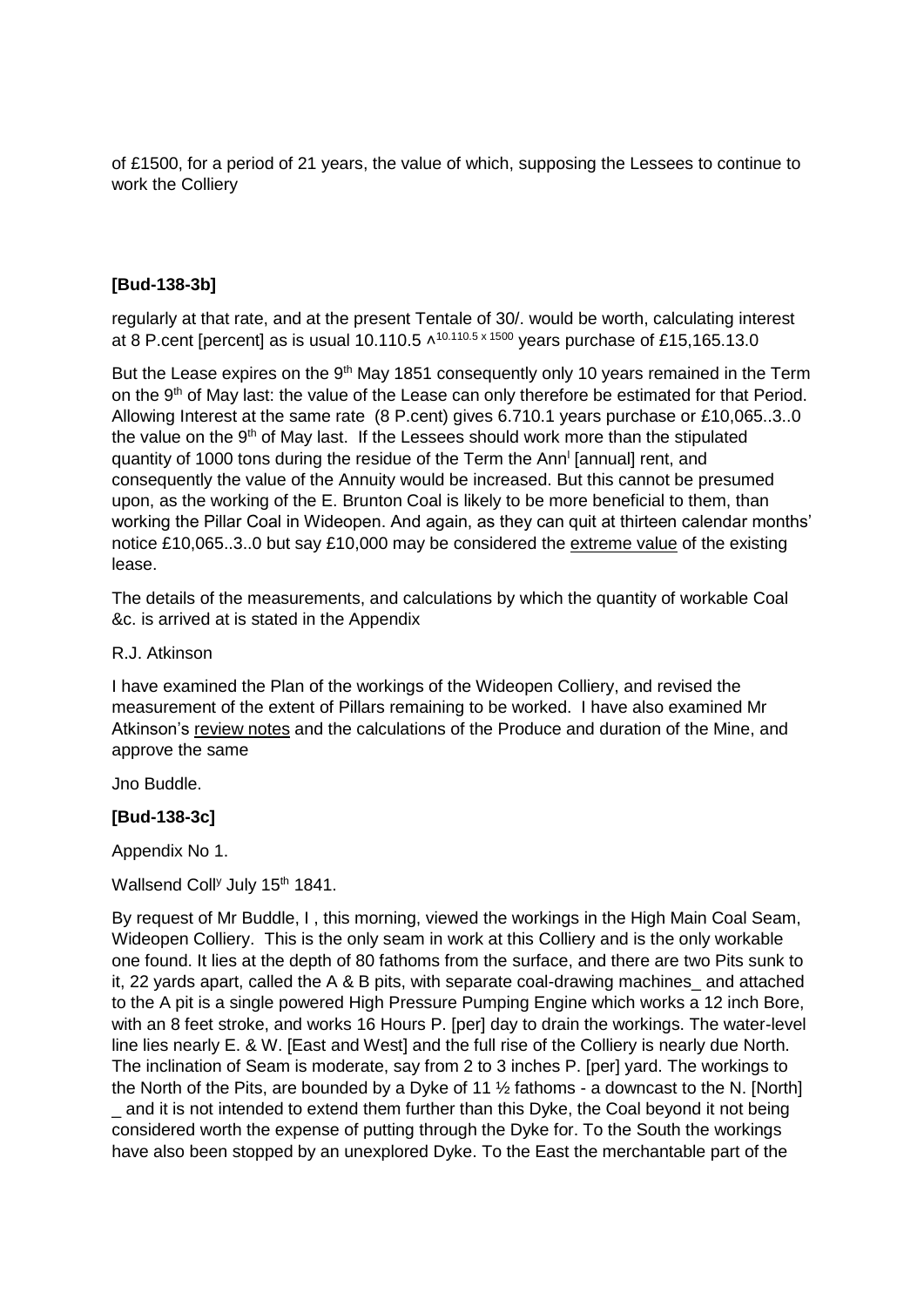of £1500, for a period of 21 years, the value of which, supposing the Lessees to continue to work the Colliery

#### **[Bud-138-3b]**

regularly at that rate, and at the present Tentale of 30/. would be worth, calculating interest at 8 P.cent [percent] as is usual 10.110.5  $\wedge^{10.110.5 \times 1500}$  years purchase of £15,165.13.0

But the Lease expires on the 9<sup>th</sup> May 1851 consequently only 10 years remained in the Term on the 9<sup>th</sup> of May last: the value of the Lease can only therefore be estimated for that Period. Allowing Interest at the same rate (8 P.cent) gives 6.710.1 years purchase or £10,065..3..0 the value on the  $9<sup>th</sup>$  of May last. If the Lessees should work more than the stipulated quantity of 1000 tons during the residue of the Term the Ann<sup>I</sup> [annual] rent, and consequently the value of the Annuity would be increased. But this cannot be presumed upon, as the working of the E. Brunton Coal is likely to be more beneficial to them, than working the Pillar Coal in Wideopen. And again, as they can quit at thirteen calendar months' notice £10,065..3..0 but say £10,000 may be considered the extreme value of the existing lease.

The details of the measurements, and calculations by which the quantity of workable Coal &c. is arrived at is stated in the Appendix

#### R.J. Atkinson

I have examined the Plan of the workings of the Wideopen Colliery, and revised the measurement of the extent of Pillars remaining to be worked. I have also examined Mr Atkinson's review notes and the calculations of the Produce and duration of the Mine, and approve the same

Jno Buddle.

#### **[Bud-138-3c]**

Appendix No 1.

Wallsend Coll<sup>y</sup> July 15<sup>th</sup> 1841.

By request of Mr Buddle, I , this morning, viewed the workings in the High Main Coal Seam, Wideopen Colliery. This is the only seam in work at this Colliery and is the only workable one found. It lies at the depth of 80 fathoms from the surface, and there are two Pits sunk to it, 22 yards apart, called the A & B pits, with separate coal-drawing machines\_ and attached to the A pit is a single powered High Pressure Pumping Engine which works a 12 inch Bore, with an 8 feet stroke, and works 16 Hours P. [per] day to drain the workings. The water-level line lies nearly E. & W. [East and West] and the full rise of the Colliery is nearly due North. The inclination of Seam is moderate, say from 2 to 3 inches P. [per] yard. The workings to the North of the Pits, are bounded by a Dyke of 11  $\frac{1}{2}$  fathoms - a downcast to the N. [North]

\_ and it is not intended to extend them further than this Dyke, the Coal beyond it not being considered worth the expense of putting through the Dyke for. To the South the workings have also been stopped by an unexplored Dyke. To the East the merchantable part of the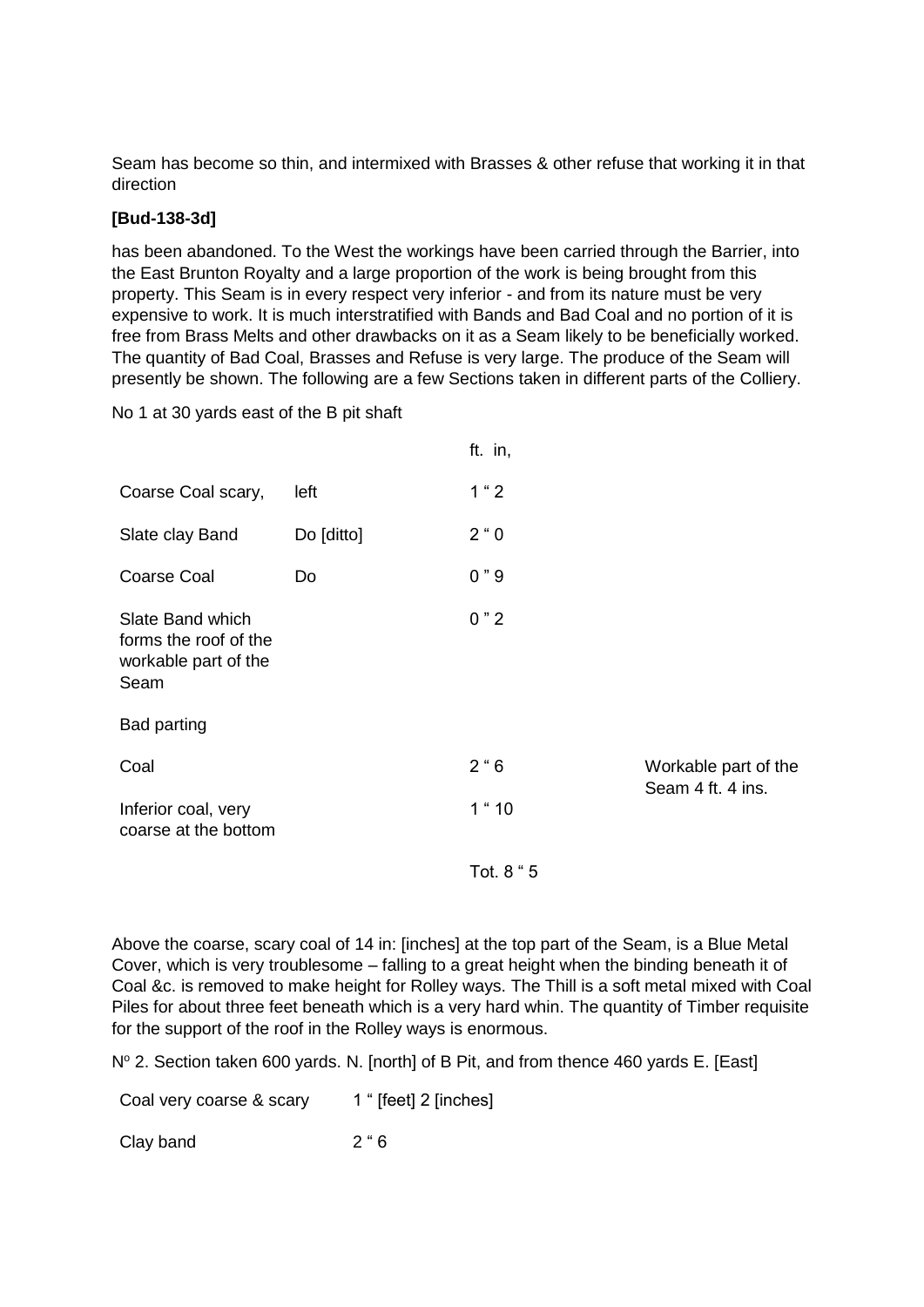Seam has become so thin, and intermixed with Brasses & other refuse that working it in that direction

#### **[Bud-138-3d]**

has been abandoned. To the West the workings have been carried through the Barrier, into the East Brunton Royalty and a large proportion of the work is being brought from this property. This Seam is in every respect very inferior - and from its nature must be very expensive to work. It is much interstratified with Bands and Bad Coal and no portion of it is free from Brass Melts and other drawbacks on it as a Seam likely to be beneficially worked. The quantity of Bad Coal, Brasses and Refuse is very large. The produce of the Seam will presently be shown. The following are a few Sections taken in different parts of the Colliery.

No 1 at 30 yards east of the B pit shaft

|                                                                           |            | ft. in,    |                                           |
|---------------------------------------------------------------------------|------------|------------|-------------------------------------------|
| Coarse Coal scary,                                                        | left       | $1$ " $2$  |                                           |
| Slate clay Band                                                           | Do [ditto] | 2 " 0      |                                           |
| <b>Coarse Coal</b>                                                        | Do         | 0 " 9      |                                           |
| Slate Band which<br>forms the roof of the<br>workable part of the<br>Seam |            | 0"2        |                                           |
| <b>Bad parting</b>                                                        |            |            |                                           |
| Coal                                                                      |            | 2 " 6      | Workable part of the<br>Seam 4 ft. 4 ins. |
| Inferior coal, very<br>coarse at the bottom                               |            | $1$ " $10$ |                                           |
|                                                                           |            | Tot. 8 " 5 |                                           |

Above the coarse, scary coal of 14 in: [inches] at the top part of the Seam, is a Blue Metal Cover, which is very troublesome – falling to a great height when the binding beneath it of Coal &c. is removed to make height for Rolley ways. The Thill is a soft metal mixed with Coal Piles for about three feet beneath which is a very hard whin. The quantity of Timber requisite for the support of the roof in the Rolley ways is enormous.

 $N^{\circ}$  2. Section taken 600 yards. N. [north] of B Pit, and from thence 460 yards E. [East]

| Coal very coarse & scary | 1 " [feet] 2 [inches] |
|--------------------------|-----------------------|
|--------------------------|-----------------------|

Clay band 2 " 6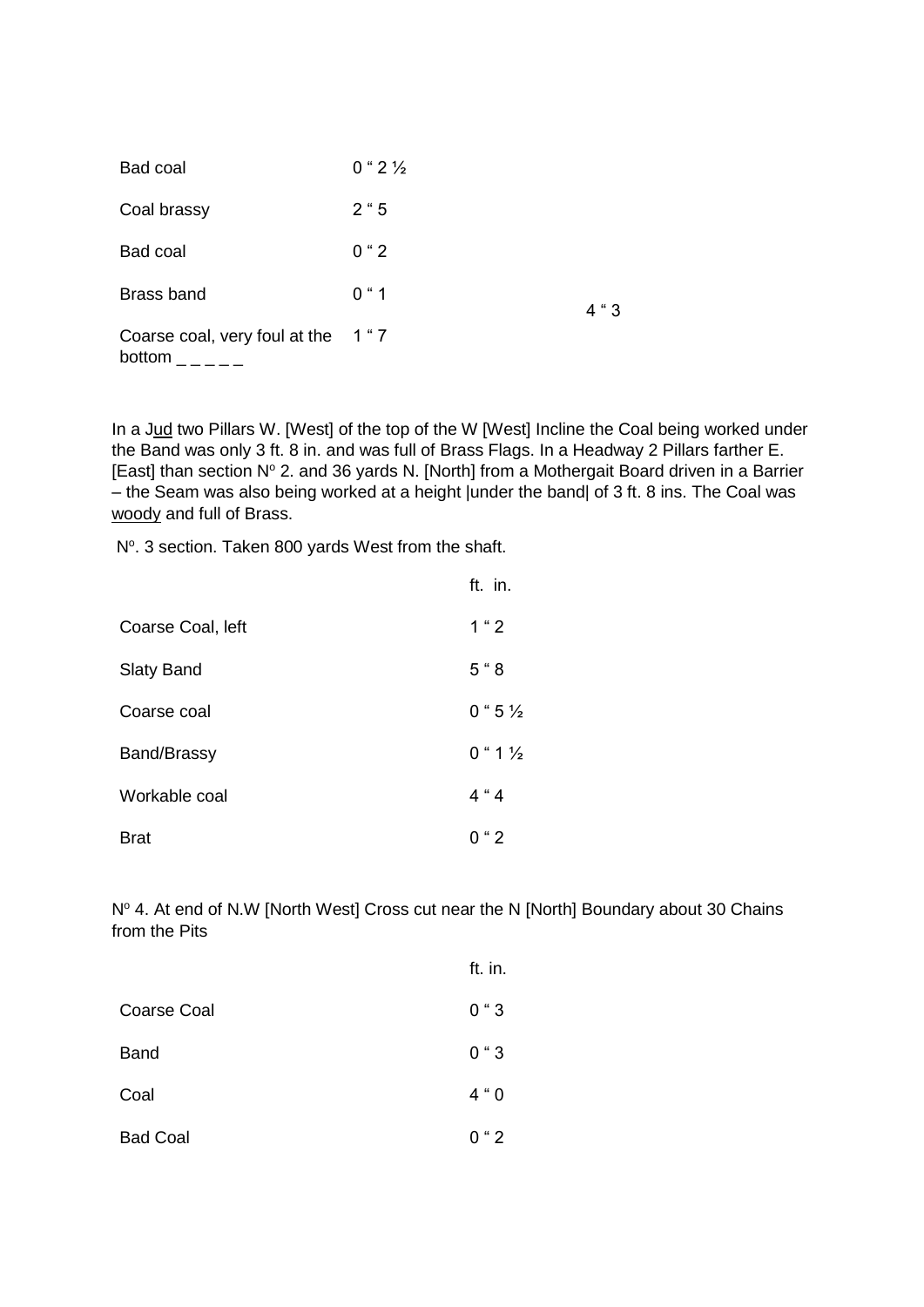| Bad coal                                | $0$ " $2\frac{1}{2}$ |       |
|-----------------------------------------|----------------------|-------|
| Coal brassy                             | 2 " 5                |       |
| Bad coal                                | 0 "2                 |       |
| Brass band                              | $0$ " 1              | 4 " 3 |
| Coarse coal, very foul at the<br>bottom | 1 " 7                |       |

In a Jud two Pillars W. [West] of the top of the W [West] Incline the Coal being worked under the Band was only 3 ft. 8 in. and was full of Brass Flags. In a Headway 2 Pillars farther E. [East] than section  $N^{\circ}$  2. and 36 yards N. [North] from a Mothergait Board driven in a Barrier – the Seam was also being worked at a height |under the band| of 3 ft. 8 ins. The Coal was woody and full of Brass.

N°. 3 section. Taken 800 yards West from the shaft.

|                   | ft. in.               |
|-------------------|-----------------------|
| Coarse Coal, left | $1$ " $2$             |
| <b>Slaty Band</b> | 5 " 8                 |
| Coarse coal       | $0$ " 5 $\frac{1}{2}$ |
| Band/Brassy       | $0$ " 1 $\frac{1}{2}$ |
| Workable coal     | 4 " 4                 |
| <b>Brat</b>       | 0 "2                  |

Nº 4. At end of N.W [North West] Cross cut near the N [North] Boundary about 30 Chains from the Pits

|                    | ft. in. |
|--------------------|---------|
| <b>Coarse Coal</b> | 0 "3    |
| <b>Band</b>        | 0 "3    |
| Coal               | 4 " 0   |
| <b>Bad Coal</b>    | 0 "2    |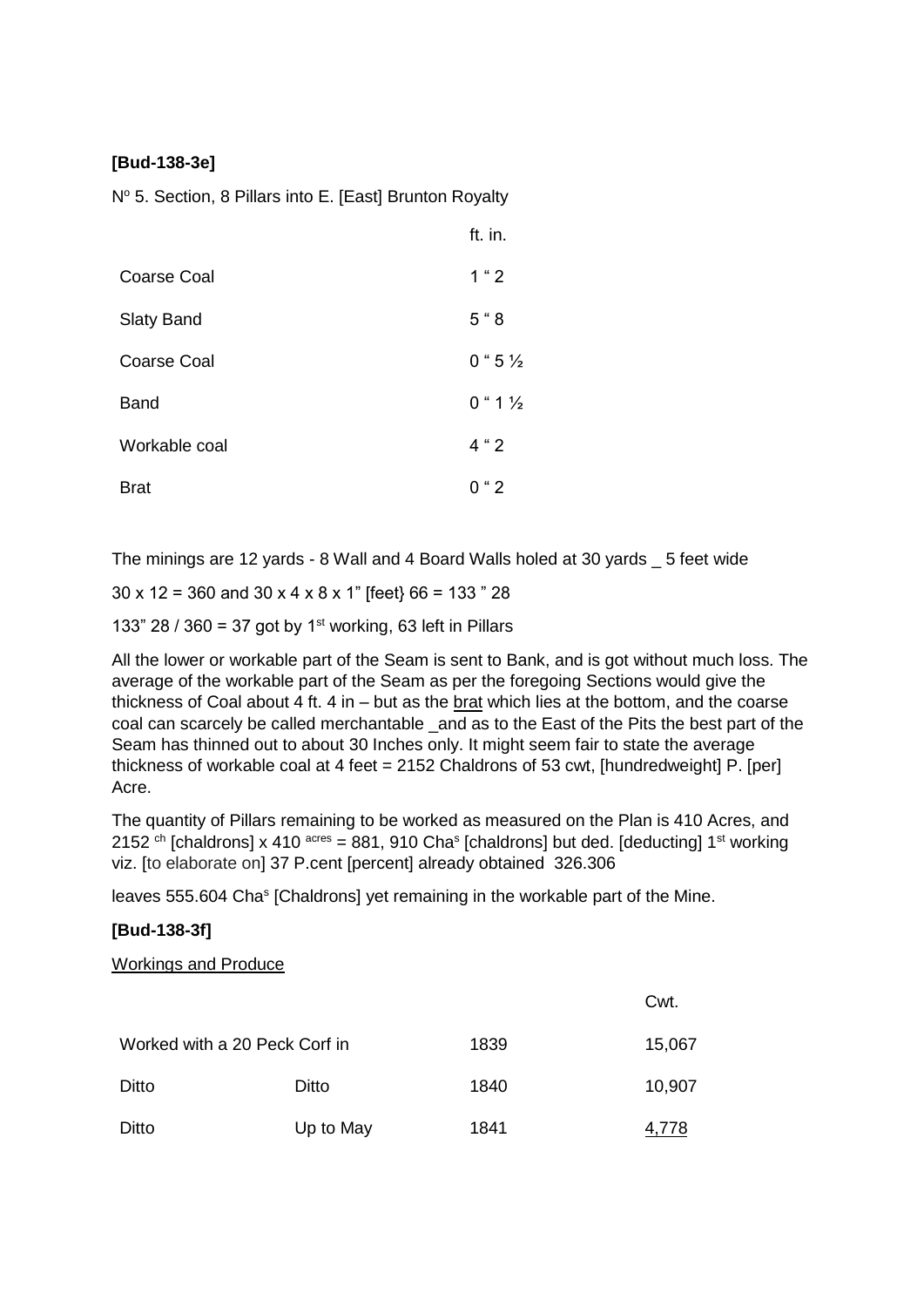# **[Bud-138-3e]**

Nº 5. Section, 8 Pillars into E. [East] Brunton Rovalty

|                   | ft. in.               |
|-------------------|-----------------------|
| Coarse Coal       | $1$ " $2$             |
| <b>Slaty Band</b> | 5 " 8                 |
| Coarse Coal       | $0$ " 5 $\frac{1}{2}$ |
| <b>Band</b>       | $0$ " $1\frac{1}{2}$  |
| Workable coal     | 4 " 2                 |
| <b>Brat</b>       | 0 "2                  |

The minings are 12 yards - 8 Wall and 4 Board Walls holed at 30 yards \_ 5 feet wide

30 x 12 = 360 and 30 x 4 x 8 x 1" [feet} 66 = 133 " 28

133" 28 / 360 = 37 got by 1 $st$  working, 63 left in Pillars

All the lower or workable part of the Seam is sent to Bank, and is got without much loss. The average of the workable part of the Seam as per the foregoing Sections would give the thickness of Coal about 4 ft. 4 in – but as the brat which lies at the bottom, and the coarse coal can scarcely be called merchantable and as to the East of the Pits the best part of the Seam has thinned out to about 30 Inches only. It might seem fair to state the average thickness of workable coal at 4 feet = 2152 Chaldrons of 53 cwt, [hundredweight] P. [per] Acre.

The quantity of Pillars remaining to be worked as measured on the Plan is 410 Acres, and 2152 <sup>ch</sup> [chaldrons] x 410 <sup>acres</sup> = 881, 910 Cha<sup>s</sup> [chaldrons] but ded. [deducting] 1<sup>st</sup> working viz. [to elaborate on] 37 P.cent [percent] already obtained 326.306

leaves 555.604 Cha<sup>s</sup> [Chaldrons] yet remaining in the workable part of the Mine.

#### **[Bud-138-3f]**

#### Workings and Produce

|                               |           |      | Cwt.   |
|-------------------------------|-----------|------|--------|
| Worked with a 20 Peck Corf in |           | 1839 | 15,067 |
| Ditto                         | Ditto     | 1840 | 10,907 |
| Ditto                         | Up to May | 1841 | 4,778  |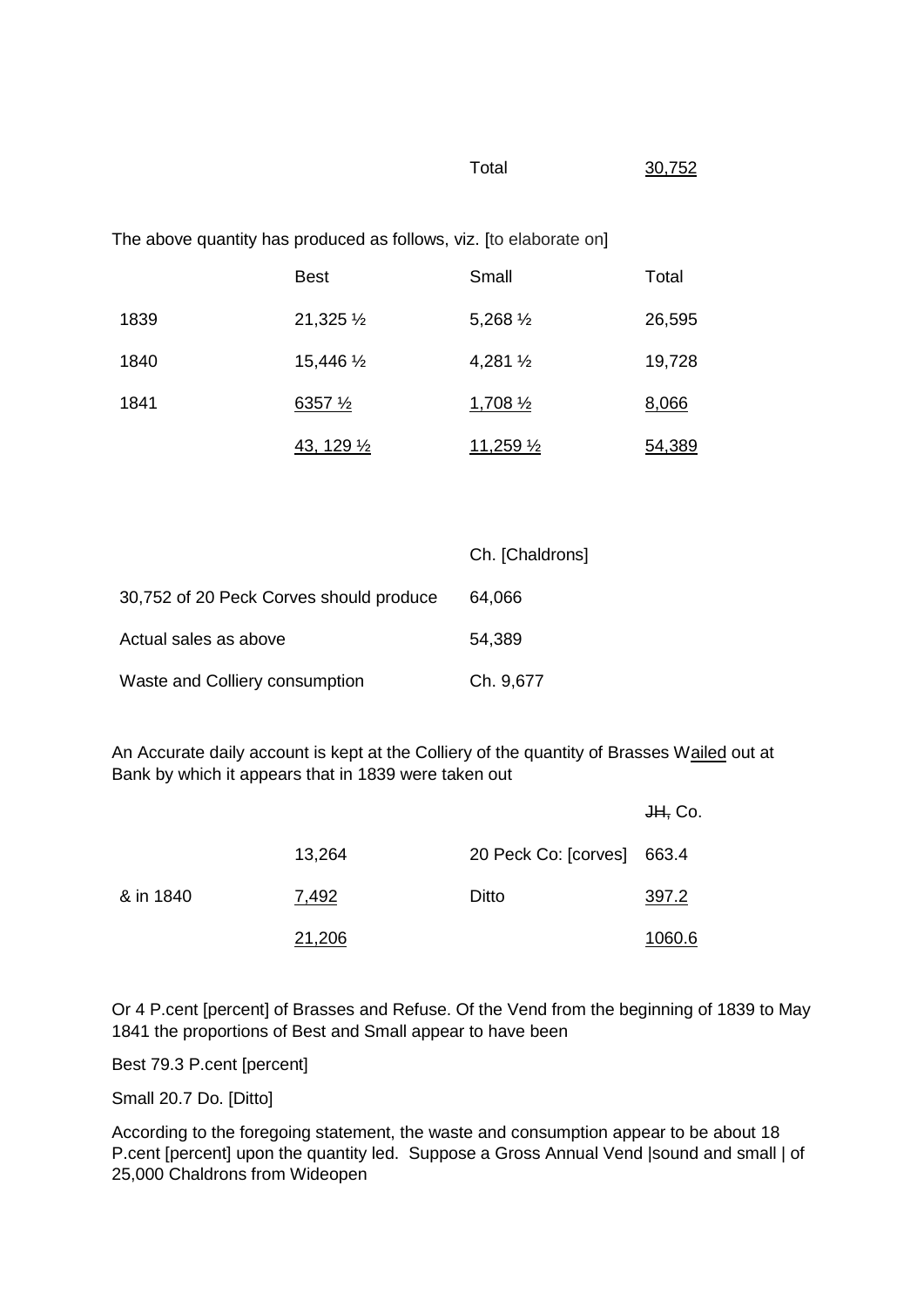| Total | 30,752 |
|-------|--------|
|       |        |

The above quantity has produced as follows, viz. [to elaborate on]

|      | <b>Best</b>           | Small      | Total  |
|------|-----------------------|------------|--------|
| 1839 | 21,325 1/2            | 5,268 1/2  | 26,595 |
| 1840 | 15,446 1/2            | 4,281 1/2  | 19,728 |
| 1841 | 6357 1/2              | 1,708 1/2  | 8,066  |
|      | 43, 129 $\frac{1}{2}$ | 11,259 1/2 | 54,389 |

|                                         | Ch. [Chaldrons] |
|-----------------------------------------|-----------------|
| 30,752 of 20 Peck Corves should produce | 64,066          |
| Actual sales as above                   | 54,389          |
| Waste and Colliery consumption          | Ch. 9,677       |

An Accurate daily account is kept at the Colliery of the quantity of Brasses Wailed out at Bank by which it appears that in 1839 were taken out

|           |        |                            | <del>JH,</del> Co. |
|-----------|--------|----------------------------|--------------------|
|           | 13,264 | 20 Peck Co: [corves] 663.4 |                    |
| & in 1840 | 7,492  | Ditto                      | 397.2              |
|           | 21,206 |                            | 1060.6             |

Or 4 P.cent [percent] of Brasses and Refuse. Of the Vend from the beginning of 1839 to May 1841 the proportions of Best and Small appear to have been

Best 79.3 P.cent [percent]

Small 20.7 Do. [Ditto]

According to the foregoing statement, the waste and consumption appear to be about 18 P.cent [percent] upon the quantity led. Suppose a Gross Annual Vend |sound and small | of 25,000 Chaldrons from Wideopen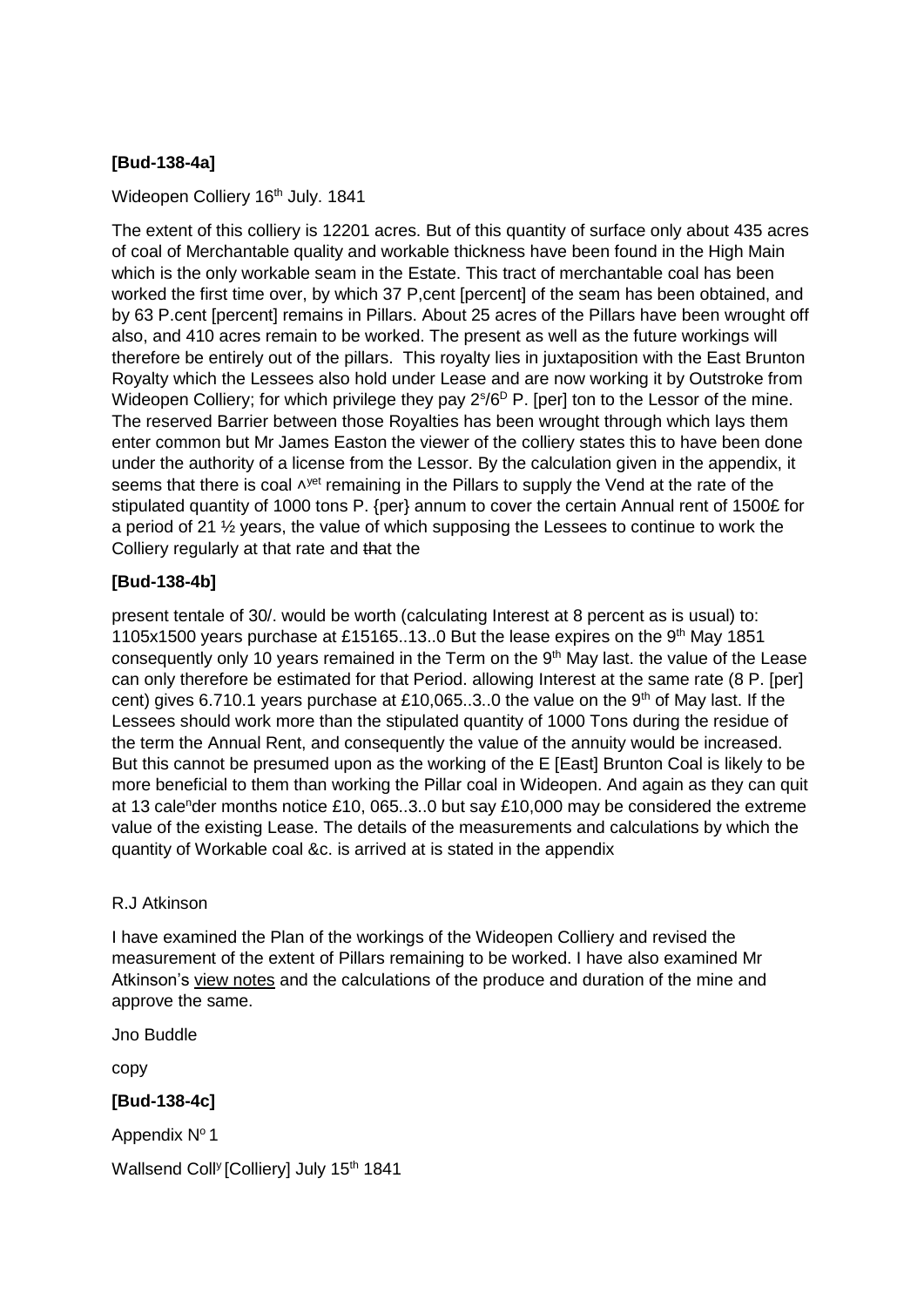# **[Bud-138-4a]**

Wideopen Colliery 16<sup>th</sup> July. 1841

The extent of this colliery is 12201 acres. But of this quantity of surface only about 435 acres of coal of Merchantable quality and workable thickness have been found in the High Main which is the only workable seam in the Estate. This tract of merchantable coal has been worked the first time over, by which 37 P,cent [percent] of the seam has been obtained, and by 63 P.cent [percent] remains in Pillars. About 25 acres of the Pillars have been wrought off also, and 410 acres remain to be worked. The present as well as the future workings will therefore be entirely out of the pillars. This royalty lies in juxtaposition with the East Brunton Royalty which the Lessees also hold under Lease and are now working it by Outstroke from Wideopen Colliery; for which privilege they pay  $2<sup>s</sup>/6<sup>D</sup>$  P. [per] ton to the Lessor of the mine. The reserved Barrier between those Royalties has been wrought through which lays them enter common but Mr James Easton the viewer of the colliery states this to have been done under the authority of a license from the Lessor. By the calculation given in the appendix, it seems that there is coal  $\wedge^{\text{yet}}$  remaining in the Pillars to supply the Vend at the rate of the stipulated quantity of 1000 tons P. {per} annum to cover the certain Annual rent of 1500£ for a period of 21  $\frac{1}{2}$  years, the value of which supposing the Lessees to continue to work the Colliery regularly at that rate and that the

# **[Bud-138-4b]**

present tentale of 30/. would be worth (calculating Interest at 8 percent as is usual) to: 1105x1500 years purchase at £15165..13..0 But the lease expires on the  $9<sup>th</sup>$  May 1851 consequently only 10 years remained in the Term on the 9<sup>th</sup> May last. the value of the Lease can only therefore be estimated for that Period. allowing Interest at the same rate (8 P. [per] cent) gives 6.710.1 years purchase at £10,065..3..0 the value on the 9<sup>th</sup> of May last. If the Lessees should work more than the stipulated quantity of 1000 Tons during the residue of the term the Annual Rent, and consequently the value of the annuity would be increased. But this cannot be presumed upon as the working of the E [East] Brunton Coal is likely to be more beneficial to them than working the Pillar coal in Wideopen. And again as they can quit at 13 cale<sup>n</sup>der months notice £10, 065..3..0 but say £10,000 may be considered the extreme value of the existing Lease. The details of the measurements and calculations by which the quantity of Workable coal &c. is arrived at is stated in the appendix

#### R.J Atkinson

I have examined the Plan of the workings of the Wideopen Colliery and revised the measurement of the extent of Pillars remaining to be worked. I have also examined Mr Atkinson's view notes and the calculations of the produce and duration of the mine and approve the same.

Jno Buddle

copy

**[Bud-138-4c]**

Appendix Nº 1

Wallsend Coll<sup>y</sup> [Colliery] July 15<sup>th</sup> 1841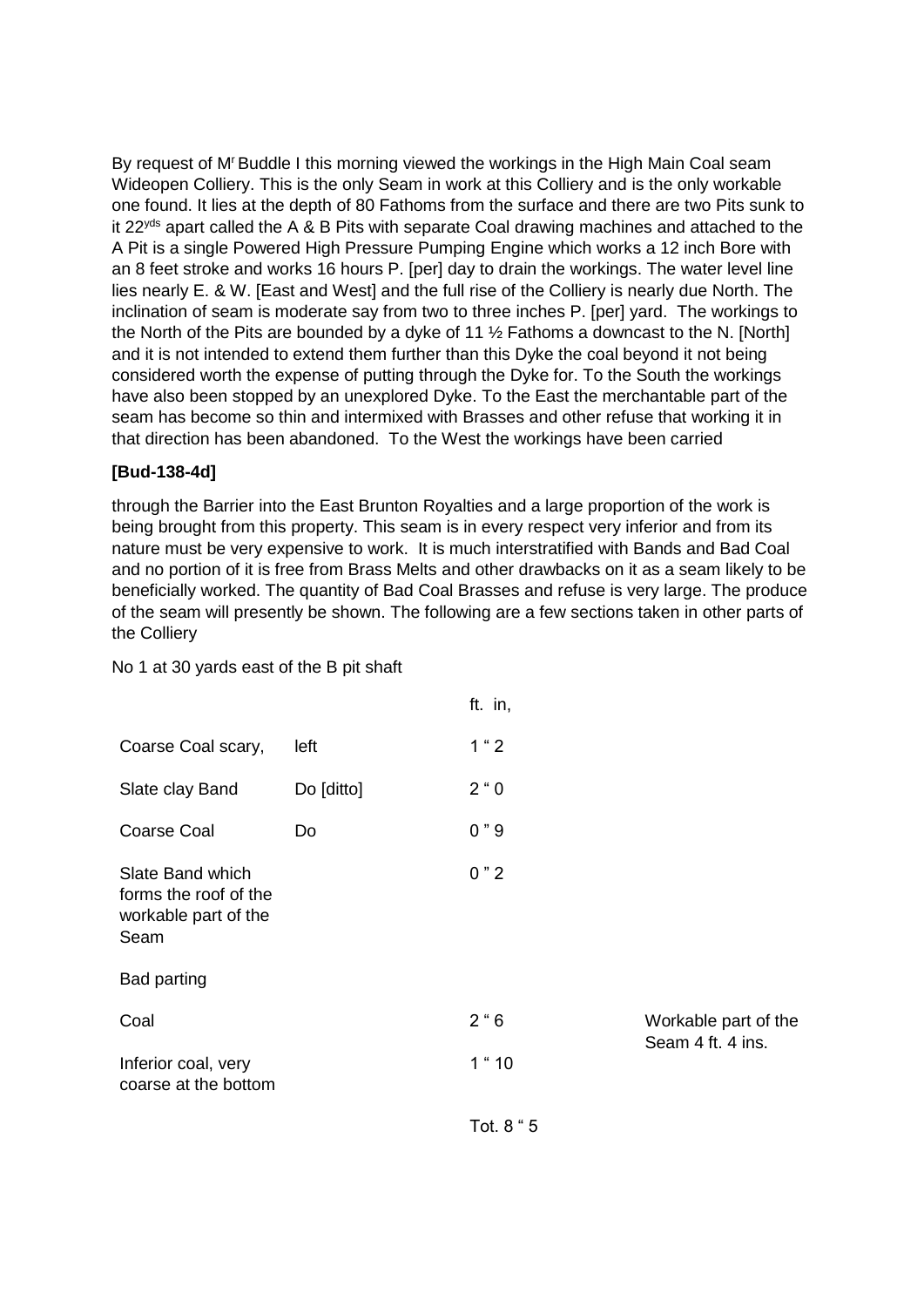By request of M'Buddle I this morning viewed the workings in the High Main Coal seam Wideopen Colliery. This is the only Seam in work at this Colliery and is the only workable one found. It lies at the depth of 80 Fathoms from the surface and there are two Pits sunk to it 22yds apart called the A & B Pits with separate Coal drawing machines and attached to the A Pit is a single Powered High Pressure Pumping Engine which works a 12 inch Bore with an 8 feet stroke and works 16 hours P. [per] day to drain the workings. The water level line lies nearly E. & W. [East and West] and the full rise of the Colliery is nearly due North. The inclination of seam is moderate say from two to three inches P. [per] yard. The workings to the North of the Pits are bounded by a dyke of 11  $\frac{1}{2}$  Fathoms a downcast to the N. [North] and it is not intended to extend them further than this Dyke the coal beyond it not being considered worth the expense of putting through the Dyke for. To the South the workings have also been stopped by an unexplored Dyke. To the East the merchantable part of the seam has become so thin and intermixed with Brasses and other refuse that working it in that direction has been abandoned. To the West the workings have been carried

# **[Bud-138-4d]**

through the Barrier into the East Brunton Royalties and a large proportion of the work is being brought from this property. This seam is in every respect very inferior and from its nature must be very expensive to work. It is much interstratified with Bands and Bad Coal and no portion of it is free from Brass Melts and other drawbacks on it as a seam likely to be beneficially worked. The quantity of Bad Coal Brasses and refuse is very large. The produce of the seam will presently be shown. The following are a few sections taken in other parts of the Colliery

No 1 at 30 yards east of the B pit shaft

|            | ft. in,          |                                           |
|------------|------------------|-------------------------------------------|
| left       | $1$ " $2$        |                                           |
| Do [ditto] | 2 " 0            |                                           |
| Do         | 0 "9             |                                           |
|            | 0 " 2            |                                           |
|            |                  |                                           |
|            | 2 <sup>"</sup> 6 | Workable part of the<br>Seam 4 ft. 4 ins. |
|            | $1$ " $10$       |                                           |
|            |                  |                                           |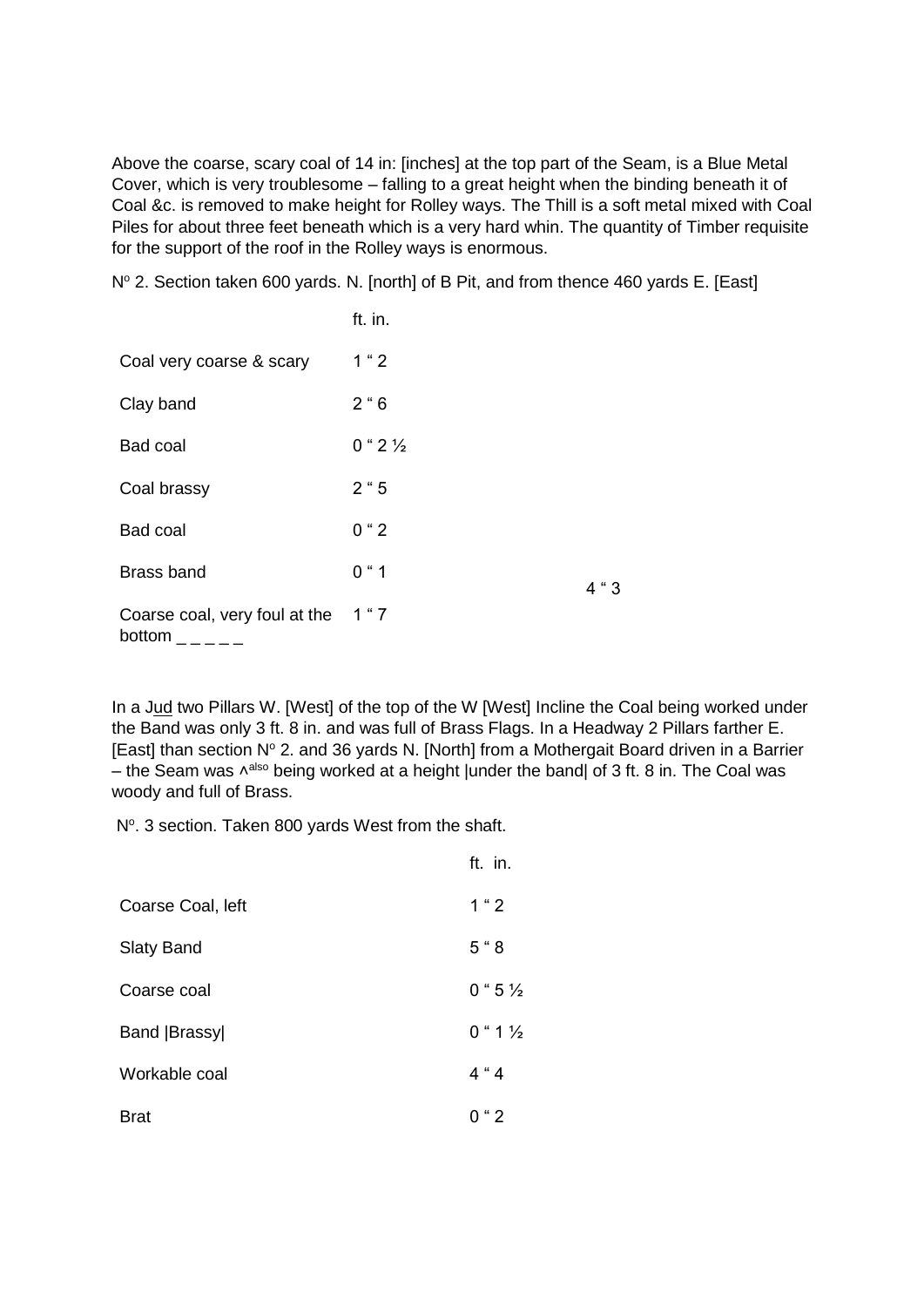Above the coarse, scary coal of 14 in: [inches] at the top part of the Seam, is a Blue Metal Cover, which is very troublesome – falling to a great height when the binding beneath it of Coal &c. is removed to make height for Rolley ways. The Thill is a soft metal mixed with Coal Piles for about three feet beneath which is a very hard whin. The quantity of Timber requisite for the support of the roof in the Rolley ways is enormous.

N° 2. Section taken 600 yards. N. [north] of B Pit, and from thence 460 yards E. [East]

|                                         | ft. in.              |       |
|-----------------------------------------|----------------------|-------|
| Coal very coarse & scary                | $1$ " $2$            |       |
| Clay band                               | 2 <sup>"</sup> 6     |       |
| Bad coal                                | $0$ " $2\frac{1}{2}$ |       |
| Coal brassy                             | 2 <sup>"</sup> 5     |       |
| <b>Bad coal</b>                         | 0 " 2                |       |
| Brass band                              | $0$ " 1              | 4 " 3 |
| Coarse coal, very foul at the<br>bottom | 1 "7                 |       |

In a Jud two Pillars W. [West] of the top of the W [West] Incline the Coal being worked under the Band was only 3 ft. 8 in. and was full of Brass Flags. In a Headway 2 Pillars farther E. [East] than section Nº 2. and 36 yards N. [North] from a Mothergait Board driven in a Barrier  $-$  the Seam was  $\wedge$ <sup>also</sup> being worked at a height |under the band| of 3 ft. 8 in. The Coal was woody and full of Brass.

N°. 3 section. Taken 800 yards West from the shaft.

|                   | ft. in.               |
|-------------------|-----------------------|
| Coarse Coal, left | 1 " 2                 |
| <b>Slaty Band</b> | 5 " 8                 |
| Coarse coal       | $0$ " 5 $\frac{1}{2}$ |
| Band   Brassy     | $0$ " $1\frac{1}{2}$  |
| Workable coal     | 4 " 4                 |
| <b>Brat</b>       | 0 "2                  |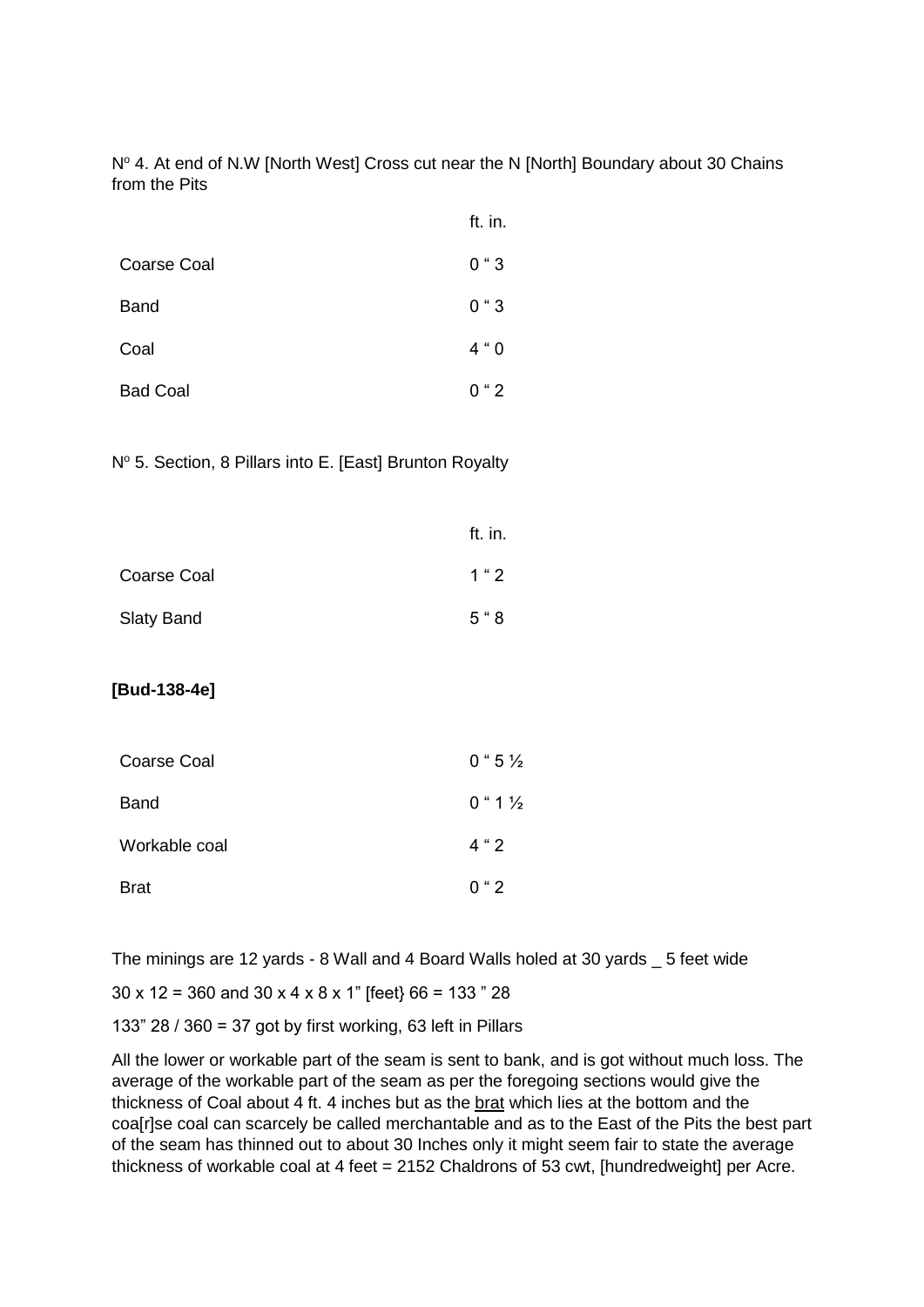Nº 4. At end of N.W [North West] Cross cut near the N [North] Boundary about 30 Chains from the Pits

|                    | ft. in. |
|--------------------|---------|
| <b>Coarse Coal</b> | 0 "3    |
| <b>Band</b>        | 0 "3    |
| Coal               | 4 " 0   |
| <b>Bad Coal</b>    | 0 "2    |

Nº 5. Section, 8 Pillars into E. [East] Brunton Royalty

|                    | ft. in. |
|--------------------|---------|
| <b>Coarse Coal</b> | 1"2     |
| <b>Slaty Band</b>  | 5 " 8   |

## **[Bud-138-4e]**

| Coarse Coal   | $0$ " 5 $\frac{1}{2}$ |
|---------------|-----------------------|
| <b>Band</b>   | $0$ " 1 $\frac{1}{2}$ |
| Workable coal | 4 " 2                 |
| <b>Brat</b>   | 0 "2                  |

The minings are 12 yards - 8 Wall and 4 Board Walls holed at 30 yards \_ 5 feet wide

30 x 12 = 360 and 30 x 4 x 8 x 1" [feet} 66 = 133 " 28

133" 28 / 360 = 37 got by first working, 63 left in Pillars

All the lower or workable part of the seam is sent to bank, and is got without much loss. The average of the workable part of the seam as per the foregoing sections would give the thickness of Coal about 4 ft. 4 inches but as the brat which lies at the bottom and the coa[r]se coal can scarcely be called merchantable and as to the East of the Pits the best part of the seam has thinned out to about 30 Inches only it might seem fair to state the average thickness of workable coal at 4 feet = 2152 Chaldrons of 53 cwt, [hundredweight] per Acre.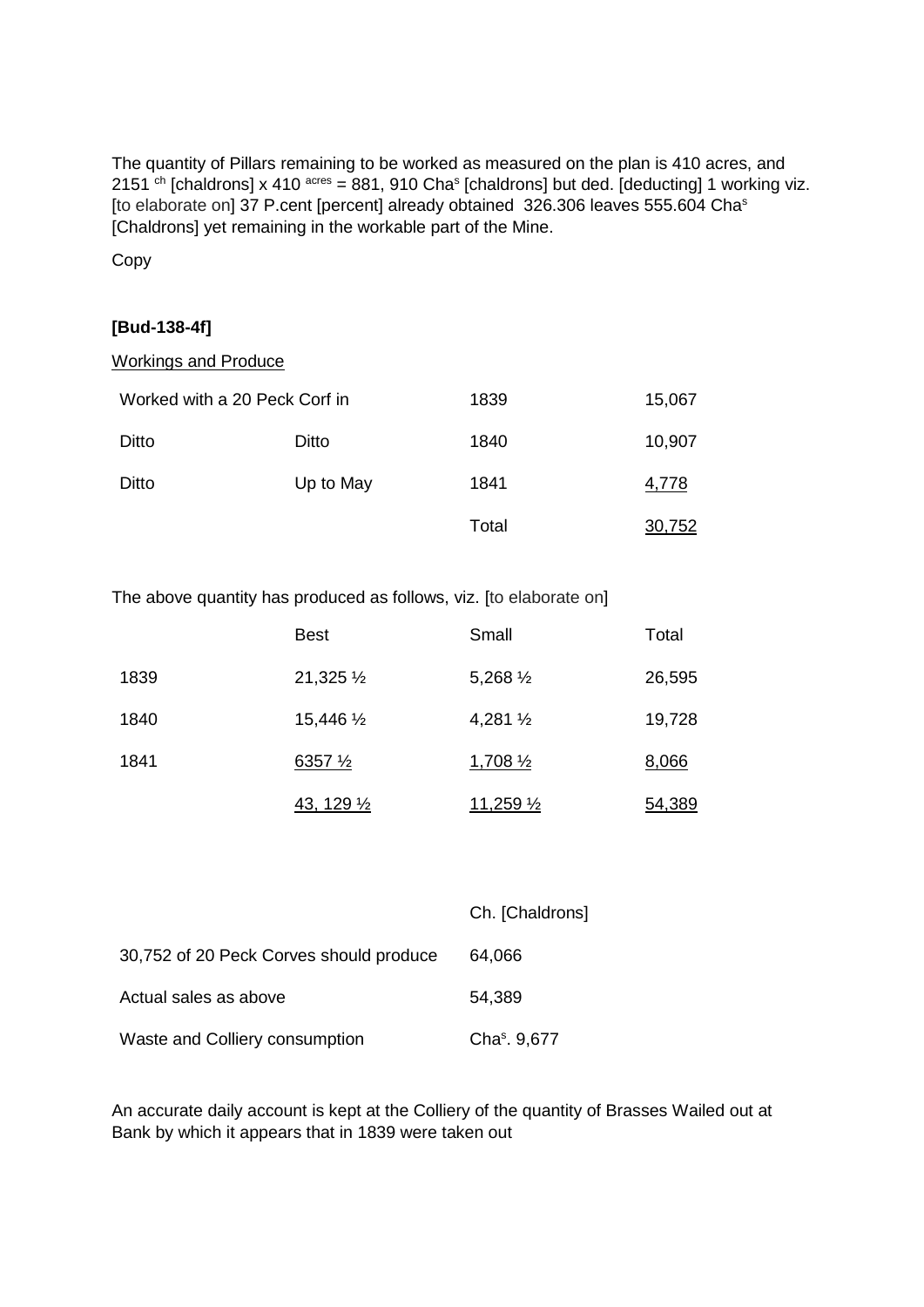The quantity of Pillars remaining to be worked as measured on the plan is 410 acres, and 2151 <sup>ch</sup> [chaldrons] x 410 <sup>acres</sup> = 881, 910 Cha<sup>s</sup> [chaldrons] but ded. [deducting] 1 working viz. [to elaborate on] 37 P.cent [percent] already obtained 326.306 leaves 555.604 Cha<sup>s</sup> [Chaldrons] yet remaining in the workable part of the Mine.

Copy

## **[Bud-138-4f]**

#### Workings and Produce

| Worked with a 20 Peck Corf in |           | 1839  | 15,067 |
|-------------------------------|-----------|-------|--------|
| Ditto                         | Ditto     | 1840  | 10,907 |
| Ditto                         | Up to May | 1841  | 4,778  |
|                               |           | Total | 30,752 |

The above quantity has produced as follows, viz. [to elaborate on]

|      | <b>Best</b>           | Small      | Total  |
|------|-----------------------|------------|--------|
| 1839 | 21,325 1/2            | 5,268 1/2  | 26,595 |
| 1840 | 15,446 1/2            | 4,281 1/2  | 19,728 |
| 1841 | $6357\frac{1}{2}$     | 1,708 1/2  | 8,066  |
|      | 43, 129 $\frac{1}{2}$ | 11,259 1/2 | 54,389 |

|                                         | Ch. [Chaldrons]          |
|-----------------------------------------|--------------------------|
| 30,752 of 20 Peck Corves should produce | 64,066                   |
| Actual sales as above                   | 54,389                   |
| Waste and Colliery consumption          | Cha <sup>s</sup> . 9,677 |

An accurate daily account is kept at the Colliery of the quantity of Brasses Wailed out at Bank by which it appears that in 1839 were taken out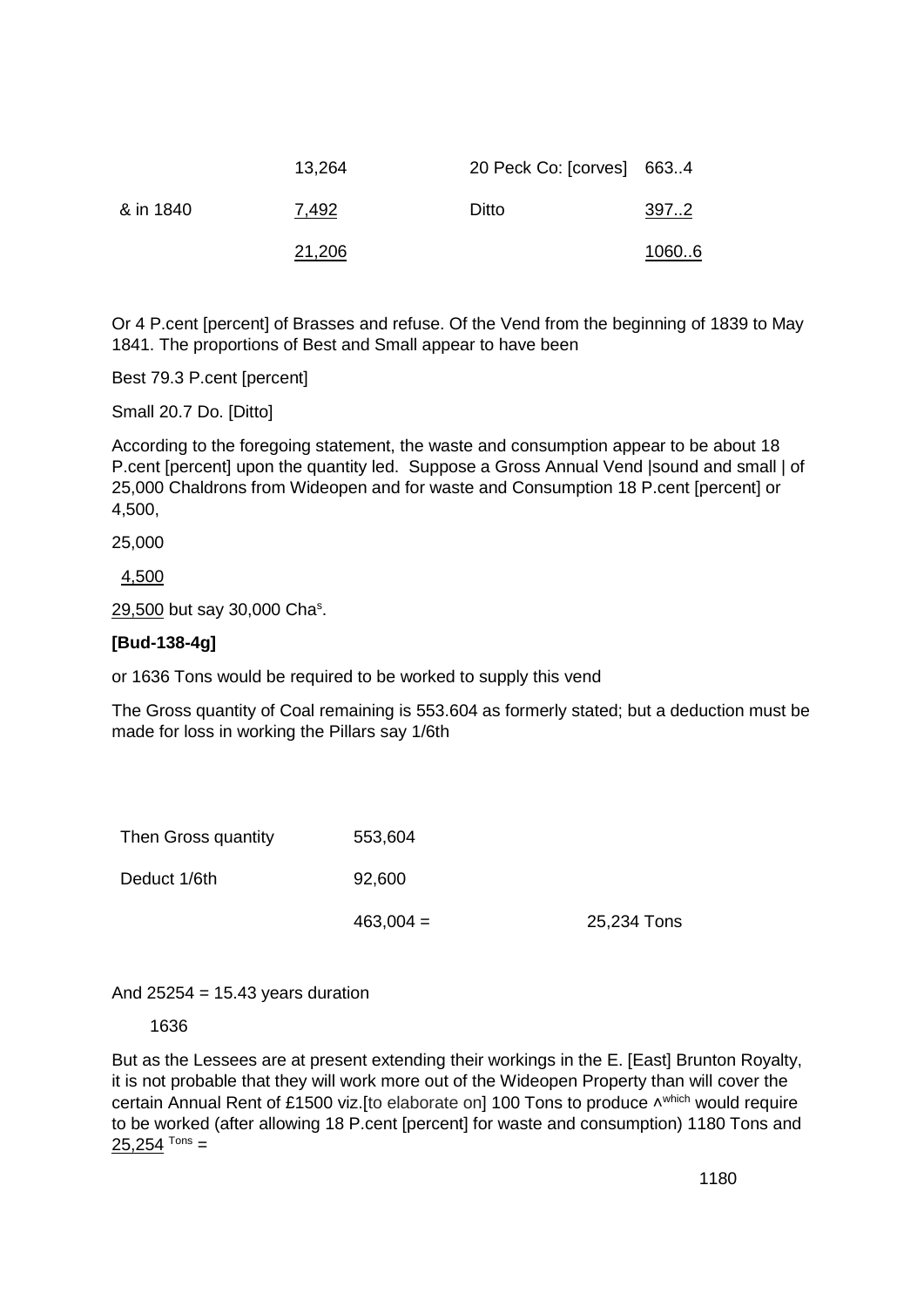|           | 13,264 | 20 Peck Co: [corves] 663.4 |        |
|-----------|--------|----------------------------|--------|
| & in 1840 | 7.492  | Ditto                      | 397.2  |
|           | 21,206 |                            | 1060.6 |

Or 4 P.cent [percent] of Brasses and refuse. Of the Vend from the beginning of 1839 to May 1841. The proportions of Best and Small appear to have been

Best 79.3 P.cent [percent]

Small 20.7 Do. [Ditto]

According to the foregoing statement, the waste and consumption appear to be about 18 P.cent [percent] upon the quantity led. Suppose a Gross Annual Vend |sound and small | of 25,000 Chaldrons from Wideopen and for waste and Consumption 18 P.cent [percent] or 4,500,

25,000

4,500

29,500 but say 30,000 Chas.

#### **[Bud-138-4g]**

or 1636 Tons would be required to be worked to supply this vend

The Gross quantity of Coal remaining is 553.604 as formerly stated; but a deduction must be made for loss in working the Pillars say 1/6th

| Then Gross quantity | 553,604     |             |
|---------------------|-------------|-------------|
| Deduct 1/6th        | 92,600      |             |
|                     | $463,004 =$ | 25,234 Tons |

And  $25254 = 15.43$  years duration

1636

But as the Lessees are at present extending their workings in the E. [East] Brunton Royalty, it is not probable that they will work more out of the Wideopen Property than will cover the certain Annual Rent of £1500 viz. [to elaborate on] 100 Tons to produce  $\wedge^{\text{which}}$  would require to be worked (after allowing 18 P.cent [percent] for waste and consumption) 1180 Tons and  $25,254$  Tons =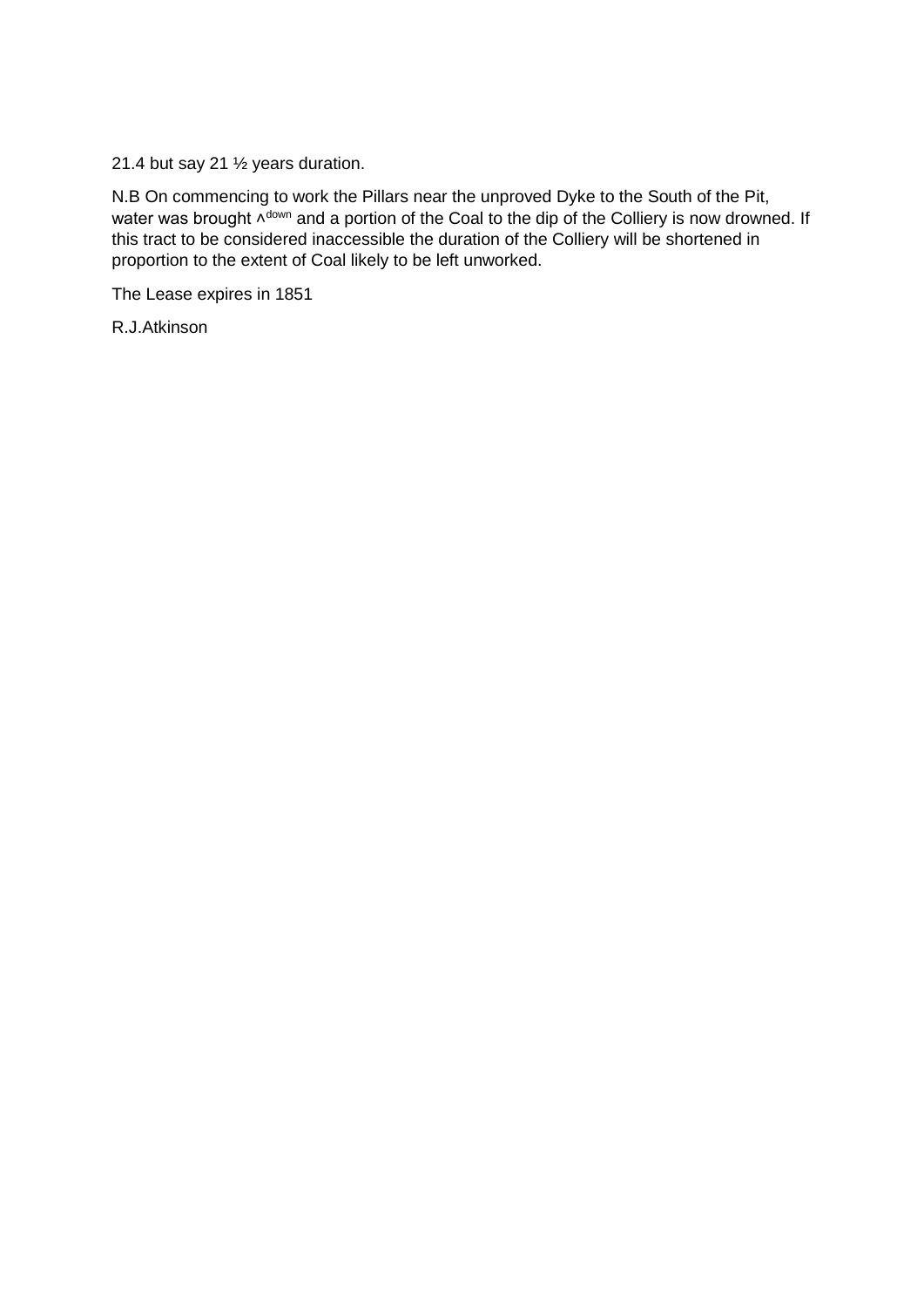21.4 but say 21 ½ years duration.

N.B On commencing to work the Pillars near the unproved Dyke to the South of the Pit, water was brought  $\Lambda^{down}$  and a portion of the Coal to the dip of the Colliery is now drowned. If this tract to be considered inaccessible the duration of the Colliery will be shortened in proportion to the extent of Coal likely to be left unworked.

The Lease expires in 1851

R.J.Atkinson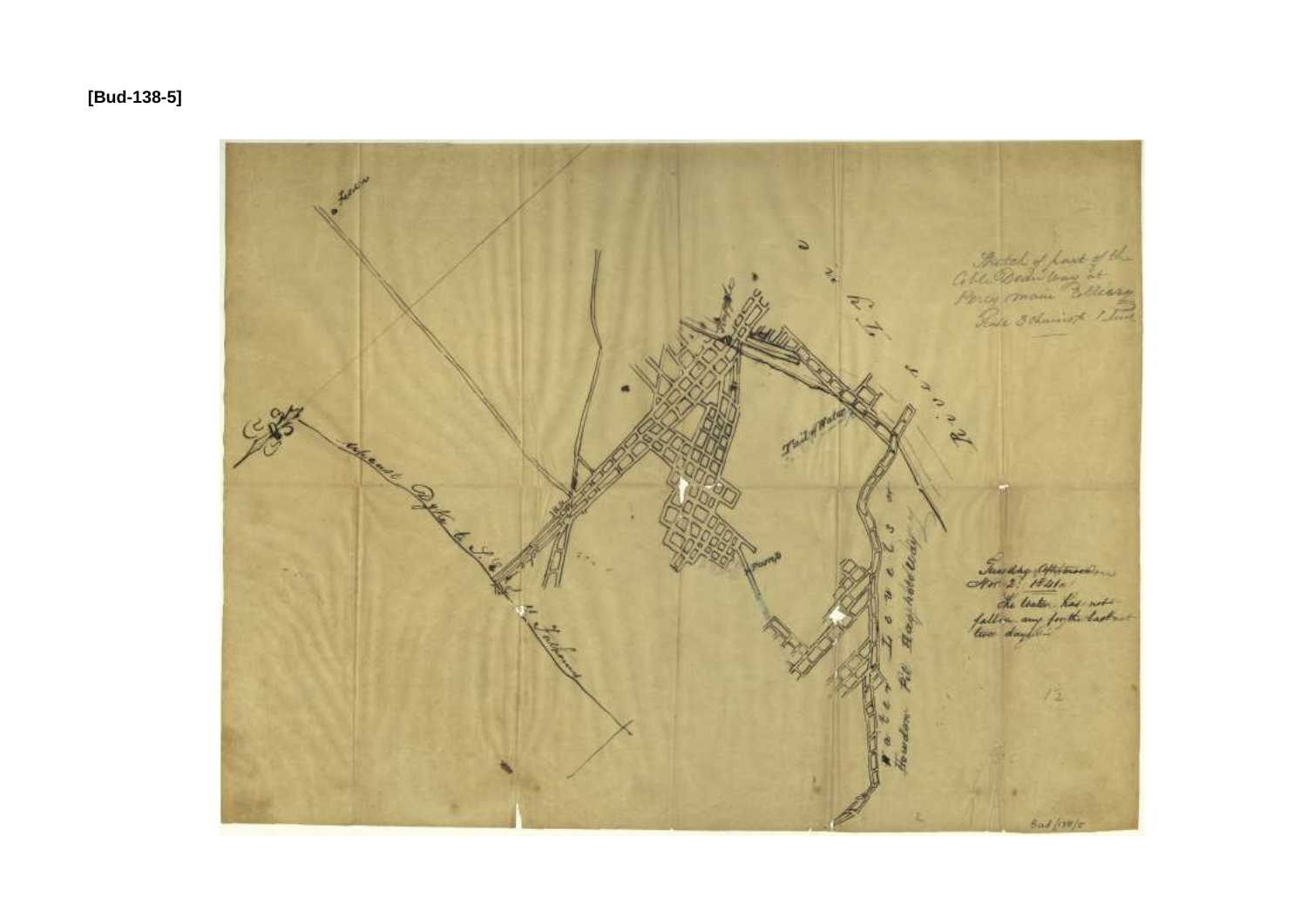# **[Bud-138-5]**

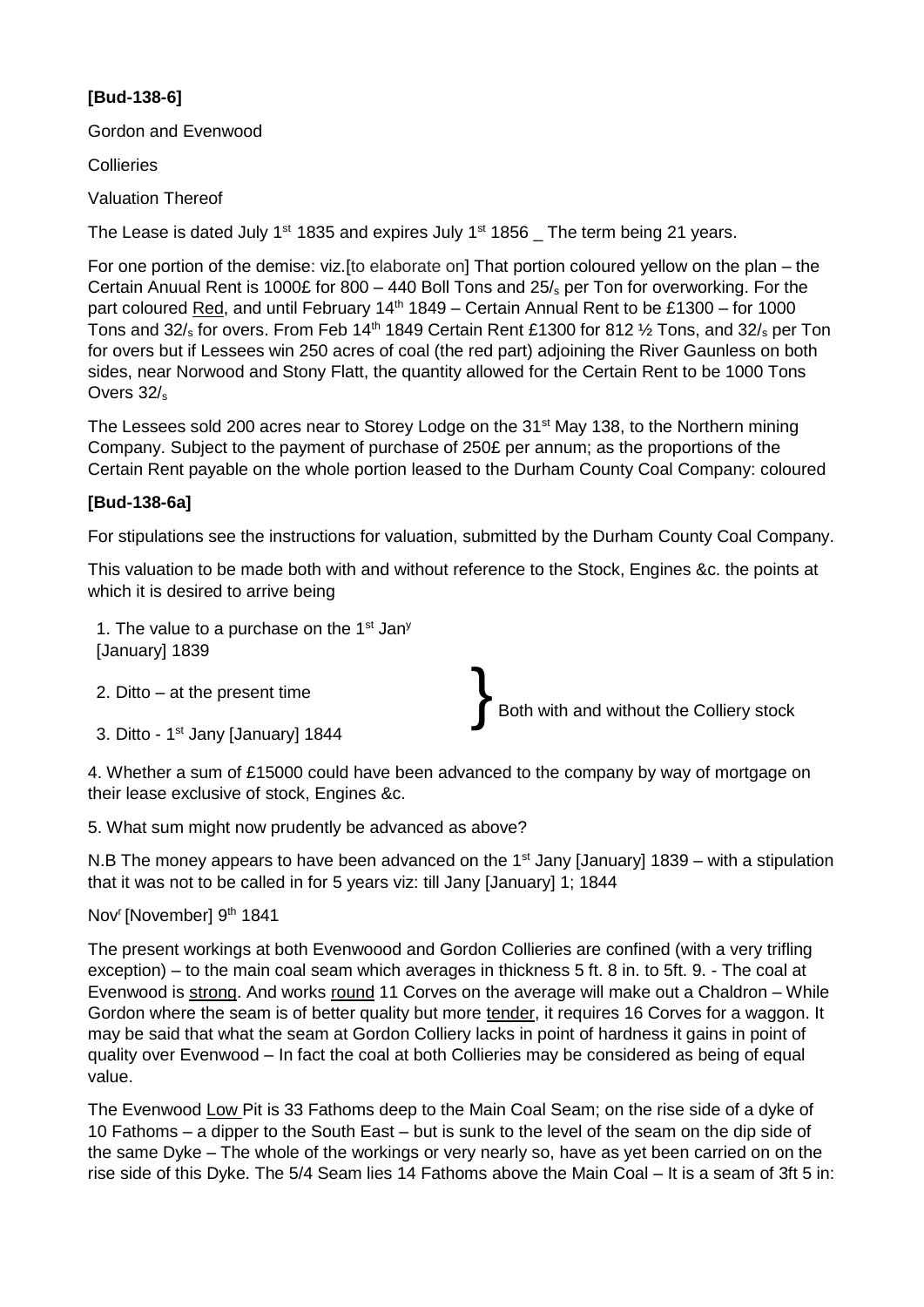# **[Bud-138-6]**

Gordon and Evenwood

**Collieries** 

Valuation Thereof

The Lease is dated July 1<sup>st</sup> 1835 and expires July 1<sup>st</sup> 1856 The term being 21 years.

For one portion of the demise: viz.[to elaborate on] That portion coloured yellow on the plan – the Certain Anuual Rent is 1000£ for 800 – 440 Boll Tons and 25/<sup>s</sup> per Ton for overworking. For the part coloured Red, and until February  $14<sup>th</sup> 1849 -$  Certain Annual Rent to be £1300 – for 1000 Tons and 32/<sub>s</sub> for overs. From Feb 14<sup>th</sup> 1849 Certain Rent £1300 for 812 1/<sub>2</sub> Tons, and 32/<sub>s</sub> per Ton for overs but if Lessees win 250 acres of coal (the red part) adjoining the River Gaunless on both sides, near Norwood and Stony Flatt, the quantity allowed for the Certain Rent to be 1000 Tons Overs 32/<sup>s</sup>

The Lessees sold 200 acres near to Storey Lodge on the  $31<sup>st</sup>$  May 138, to the Northern mining Company. Subject to the payment of purchase of 250£ per annum; as the proportions of the Certain Rent payable on the whole portion leased to the Durham County Coal Company: coloured

# **[Bud-138-6a]**

For stipulations see the instructions for valuation, submitted by the Durham County Coal Company.

This valuation to be made both with and without reference to the Stock, Engines &c. the points at which it is desired to arrive being

1. The value to a purchase on the  $1<sup>st</sup>$  Jan<sup>y</sup> [January] 1839

- 2. Ditto at the present time
- 3. Ditto 1<sup>st</sup> Jany [January] 1844



4. Whether a sum of £15000 could have been advanced to the company by way of mortgage on their lease exclusive of stock, Engines &c.

5. What sum might now prudently be advanced as above?

N.B The money appears to have been advanced on the 1<sup>st</sup> Jany [January] 1839 – with a stipulation that it was not to be called in for 5 years viz: till Jany [January] 1; 1844

Nov<sup>r</sup> [November] 9<sup>th</sup> 1841

The present workings at both Evenwoood and Gordon Collieries are confined (with a very trifling exception) – to the main coal seam which averages in thickness 5 ft. 8 in. to 5ft. 9. - The coal at Evenwood is strong. And works round 11 Corves on the average will make out a Chaldron – While Gordon where the seam is of better quality but more tender, it requires 16 Corves for a waggon. It may be said that what the seam at Gordon Colliery lacks in point of hardness it gains in point of quality over Evenwood – In fact the coal at both Collieries may be considered as being of equal value.

The Evenwood Low Pit is 33 Fathoms deep to the Main Coal Seam; on the rise side of a dyke of 10 Fathoms – a dipper to the South East – but is sunk to the level of the seam on the dip side of the same Dyke – The whole of the workings or very nearly so, have as yet been carried on on the rise side of this Dyke. The 5/4 Seam lies 14 Fathoms above the Main Coal – It is a seam of 3ft 5 in: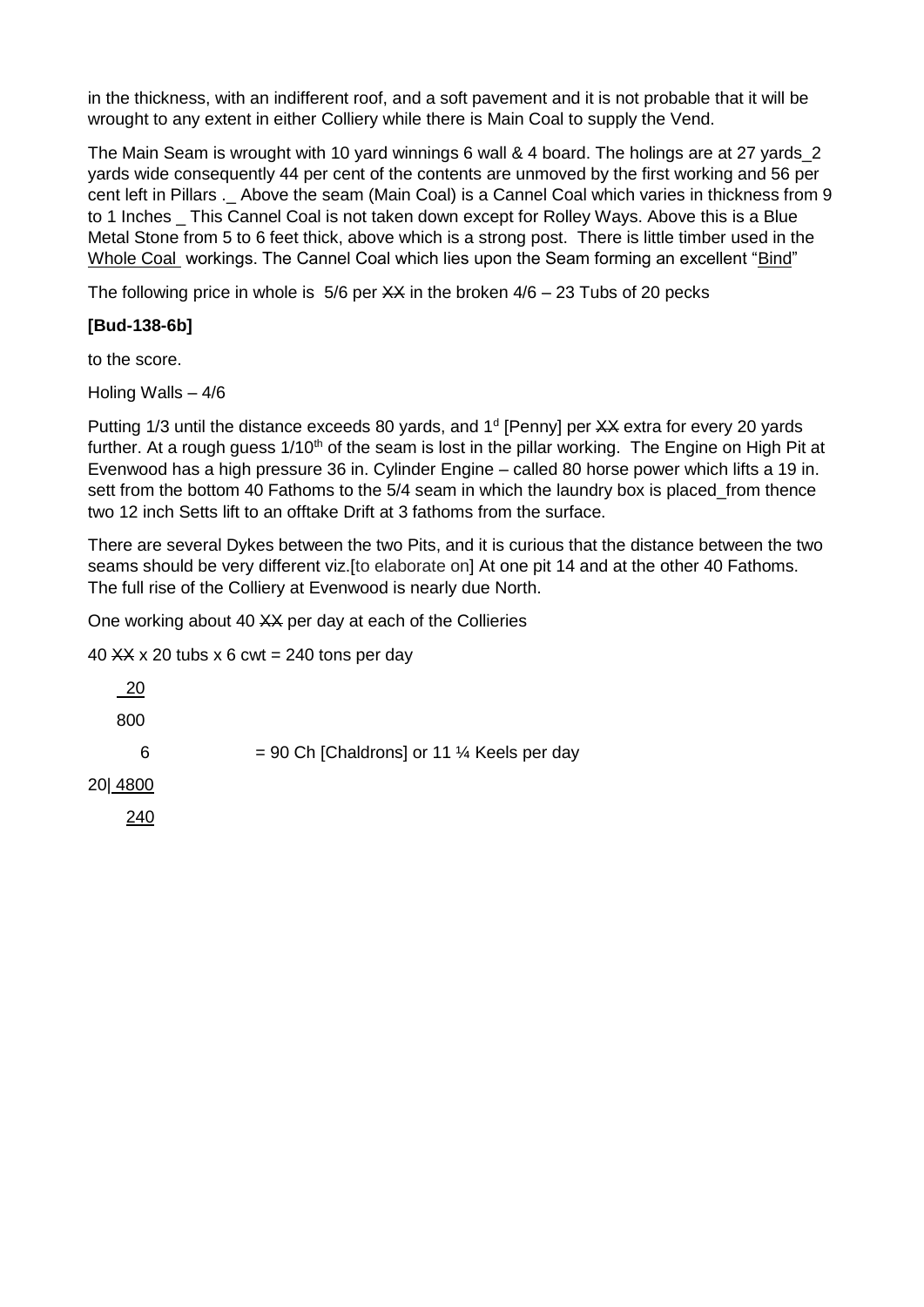in the thickness, with an indifferent roof, and a soft pavement and it is not probable that it will be wrought to any extent in either Colliery while there is Main Coal to supply the Vend.

The Main Seam is wrought with 10 yard winnings 6 wall & 4 board. The holings are at 27 yards\_2 yards wide consequently 44 per cent of the contents are unmoved by the first working and 56 per cent left in Pillars .\_ Above the seam (Main Coal) is a Cannel Coal which varies in thickness from 9 to 1 Inches This Cannel Coal is not taken down except for Rolley Ways. Above this is a Blue Metal Stone from 5 to 6 feet thick, above which is a strong post. There is little timber used in the Whole Coal workings. The Cannel Coal which lies upon the Seam forming an excellent "Bind"

The following price in whole is  $5/6$  per  $\cancel{\text{+X}}$  in the broken  $4/6 - 23$  Tubs of 20 pecks

# **[Bud-138-6b]**

to the score.

Holing Walls – 4/6

Putting  $1/3$  until the distance exceeds 80 yards, and  $1<sup>d</sup>$  [Penny] per  $XX$  extra for every 20 yards further. At a rough guess  $1/10<sup>th</sup>$  of the seam is lost in the pillar working. The Engine on High Pit at Evenwood has a high pressure 36 in. Cylinder Engine – called 80 horse power which lifts a 19 in. sett from the bottom 40 Fathoms to the 5/4 seam in which the laundry box is placed from thence two 12 inch Setts lift to an offtake Drift at 3 fathoms from the surface.

There are several Dykes between the two Pits, and it is curious that the distance between the two seams should be very different viz.[to elaborate on] At one pit 14 and at the other 40 Fathoms. The full rise of the Colliery at Evenwood is nearly due North.

One working about 40 XX per day at each of the Collieries

40  $XX \times 20$  tubs  $\times 6$  cwt = 240 tons per day  $\frac{20}{1}$  800  $6 = 90$  Ch [Chaldrons] or 11  $\frac{1}{4}$  Keels per day 20| 4800 240